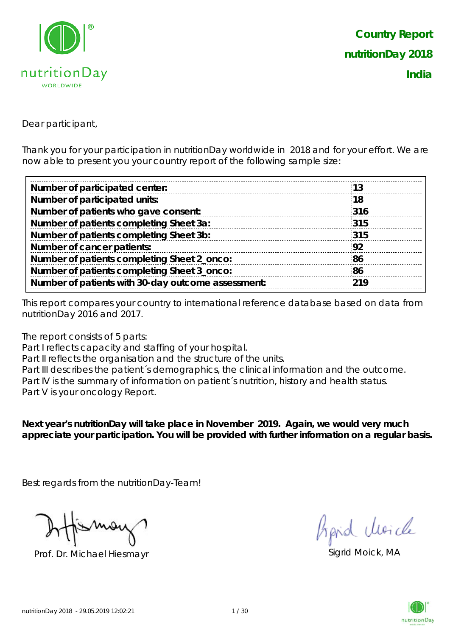

Dear participant,

Thank you for your participation in nutritionDay worldwide in 2018 and for your effort. We are now able to present you your country report of the following sample size:

| Number of participated center:                     | 13  |
|----------------------------------------------------|-----|
| Number of participated units:                      | 18  |
| Number of patients who gave consent:               | 316 |
| Number of patients completing Sheet 3a:            | 315 |
| Number of patients completing Sheet 3b:            | 315 |
| Number of cancer patients:                         | 92  |
| Number of patients completing Sheet 2_onco:        | 86  |
| Number of patients completing Sheet 3_onco:        | 86  |
| Number of patients with 30-day outcome assessment: | 219 |
|                                                    |     |

This report compares your country to international reference database based on data from nutritionDay 2016 and 2017.

The report consists of 5 parts:

Part I reflects capacity and staffing of your hospital.

Part II reflects the organisation and the structure of the units.

Part III describes the patient's demographics, the clinical information and the outcome. Part IV is the summary of information on patient's nutrition, history and health status. Part V is your oncology Report.

**Next year's nutritionDay will take place in November 2019. Again, we would very much appreciate your participation. You will be provided with further information on a regular basis.**

Best regards from the nutritionDay-Team!

Prof. Dr. Michael Hiesmayr Sigrid Moick, MA

fraid Moich

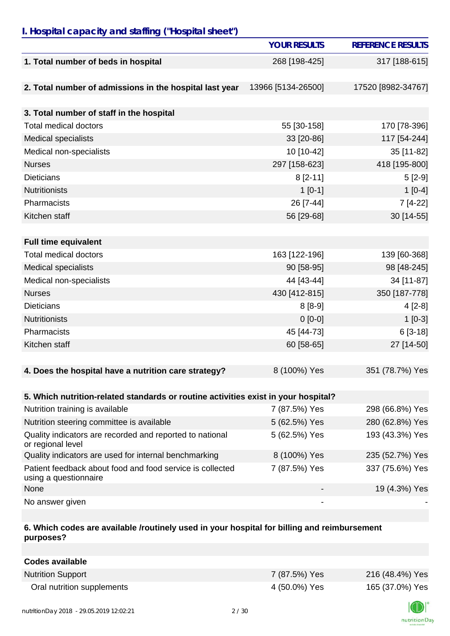## *I. Hospital capacity and staffing ("Hospital sheet")*

|                                                                                    | <b>YOUR RESULTS</b> | <b>REFERENCE RESULTS</b> |
|------------------------------------------------------------------------------------|---------------------|--------------------------|
| 1. Total number of beds in hospital                                                | 268 [198-425]       | 317 [188-615]            |
|                                                                                    |                     |                          |
| 2. Total number of admissions in the hospital last year                            | 13966 [5134-26500]  | 17520 [8982-34767]       |
|                                                                                    |                     |                          |
| 3. Total number of staff in the hospital                                           |                     |                          |
| <b>Total medical doctors</b>                                                       | 55 [30-158]         | 170 [78-396]             |
| Medical specialists                                                                | 33 [20-86]          | 117 [54-244]             |
| Medical non-specialists                                                            | 10 [10-42]          | 35 [11-82]               |
| <b>Nurses</b>                                                                      | 297 [158-623]       | 418 [195-800]            |
| <b>Dieticians</b>                                                                  | $8$ [2-11]          | $5[2-9]$                 |
| <b>Nutritionists</b>                                                               | $1[0-1]$            | $1[0-4]$                 |
| Pharmacists                                                                        | 26 [7-44]           | 7 [4-22]                 |
| Kitchen staff                                                                      | 56 [29-68]          | 30 [14-55]               |
|                                                                                    |                     |                          |
| <b>Full time equivalent</b>                                                        |                     |                          |
| <b>Total medical doctors</b>                                                       | 163 [122-196]       | 139 [60-368]             |
| <b>Medical specialists</b>                                                         | 90 [58-95]          | 98 [48-245]              |
| Medical non-specialists                                                            | 44 [43-44]          | 34 [11-87]               |
| <b>Nurses</b>                                                                      | 430 [412-815]       | 350 [187-778]            |
| <b>Dieticians</b>                                                                  | $8[8-9]$            | $4[2-8]$                 |
| <b>Nutritionists</b>                                                               | $0[0-0]$            | $1[0-3]$                 |
| Pharmacists                                                                        | 45 [44-73]          | $6[3-18]$                |
| Kitchen staff                                                                      | 60 [58-65]          | 27 [14-50]               |
|                                                                                    |                     |                          |
| 4. Does the hospital have a nutrition care strategy?                               | 8 (100%) Yes        | 351 (78.7%) Yes          |
|                                                                                    |                     |                          |
| 5. Which nutrition-related standards or routine activities exist in your hospital? |                     |                          |
| Nutrition training is available                                                    | 7 (87.5%) Yes       | 298 (66.8%) Yes          |
| Nutrition steering committee is available                                          | 5 (62.5%) Yes       | 280 (62.8%) Yes          |
| Quality indicators are recorded and reported to national<br>or regional level      | 5 (62.5%) Yes       | 193 (43.3%) Yes          |
| Quality indicators are used for internal benchmarking                              | 8 (100%) Yes        | 235 (52.7%) Yes          |
| Patient feedback about food and food service is collected<br>using a questionnaire | 7 (87.5%) Yes       | 337 (75.6%) Yes          |
| None                                                                               |                     | 19 (4.3%) Yes            |
| No answer given                                                                    |                     |                          |

## **6. Which codes are available /routinely used in your hospital for billing and reimbursement purposes?**

| <b>Codes available</b>     |               |                 |
|----------------------------|---------------|-----------------|
| <b>Nutrition Support</b>   | 7 (87.5%) Yes | 216 (48.4%) Yes |
| Oral nutrition supplements | 4 (50.0%) Yes | 165 (37.0%) Yes |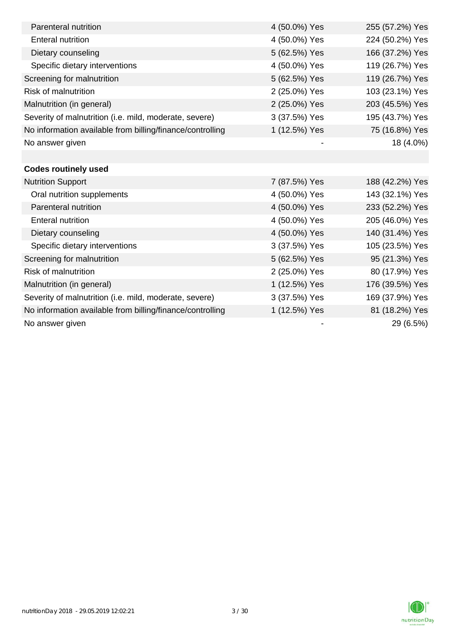| Parenteral nutrition                                      | 4 (50.0%) Yes | 255 (57.2%) Yes |
|-----------------------------------------------------------|---------------|-----------------|
| <b>Enteral nutrition</b>                                  | 4 (50.0%) Yes | 224 (50.2%) Yes |
| Dietary counseling                                        | 5 (62.5%) Yes | 166 (37.2%) Yes |
| Specific dietary interventions                            | 4 (50.0%) Yes | 119 (26.7%) Yes |
| Screening for malnutrition                                | 5 (62.5%) Yes | 119 (26.7%) Yes |
| Risk of malnutrition                                      | 2 (25.0%) Yes | 103 (23.1%) Yes |
| Malnutrition (in general)                                 | 2 (25.0%) Yes | 203 (45.5%) Yes |
| Severity of malnutrition (i.e. mild, moderate, severe)    | 3 (37.5%) Yes | 195 (43.7%) Yes |
| No information available from billing/finance/controlling | 1 (12.5%) Yes | 75 (16.8%) Yes  |
| No answer given                                           |               | 18 (4.0%)       |
|                                                           |               |                 |
| <b>Codes routinely used</b>                               |               |                 |
| <b>Nutrition Support</b>                                  | 7 (87.5%) Yes | 188 (42.2%) Yes |
| Oral nutrition supplements                                | 4 (50.0%) Yes | 143 (32.1%) Yes |
| Parenteral nutrition                                      | 4 (50.0%) Yes | 233 (52.2%) Yes |
| <b>Enteral nutrition</b>                                  | 4 (50.0%) Yes | 205 (46.0%) Yes |
| Dietary counseling                                        | 4 (50.0%) Yes | 140 (31.4%) Yes |
| Specific dietary interventions                            | 3 (37.5%) Yes | 105 (23.5%) Yes |
| Screening for malnutrition                                | 5 (62.5%) Yes | 95 (21.3%) Yes  |
| <b>Risk of malnutrition</b>                               | 2 (25.0%) Yes | 80 (17.9%) Yes  |
| Malnutrition (in general)                                 | 1 (12.5%) Yes | 176 (39.5%) Yes |
| Severity of malnutrition (i.e. mild, moderate, severe)    | 3 (37.5%) Yes | 169 (37.9%) Yes |
| No information available from billing/finance/controlling | 1 (12.5%) Yes | 81 (18.2%) Yes  |
| No answer given                                           |               | 29 (6.5%)       |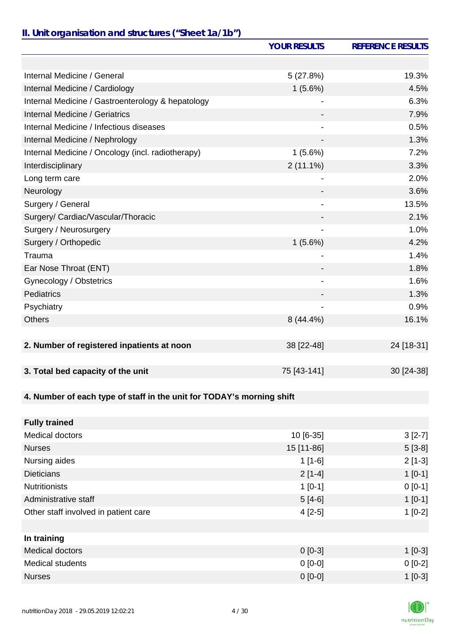# *II. Unit organisation and structures ("Sheet 1a/1b")*

|                                                                       | <b>YOUR RESULTS</b>          | <b>REFERENCE RESULTS</b> |
|-----------------------------------------------------------------------|------------------------------|--------------------------|
|                                                                       |                              |                          |
| Internal Medicine / General                                           | 5(27.8%)                     | 19.3%                    |
| Internal Medicine / Cardiology                                        | 1(5.6%)                      | 4.5%                     |
| Internal Medicine / Gastroenterology & hepatology                     |                              | 6.3%                     |
| Internal Medicine / Geriatrics                                        |                              | 7.9%                     |
| Internal Medicine / Infectious diseases                               |                              | 0.5%                     |
| Internal Medicine / Nephrology                                        |                              | 1.3%                     |
| Internal Medicine / Oncology (incl. radiotherapy)                     | 1(5.6%)                      | 7.2%                     |
| Interdisciplinary                                                     | $2(11.1\%)$                  | 3.3%                     |
| Long term care                                                        |                              | 2.0%                     |
| Neurology                                                             |                              | 3.6%                     |
| Surgery / General                                                     | $\qquad \qquad \blacksquare$ | 13.5%                    |
| Surgery/ Cardiac/Vascular/Thoracic                                    |                              | 2.1%                     |
| Surgery / Neurosurgery                                                |                              | 1.0%                     |
| Surgery / Orthopedic                                                  | 1(5.6%)                      | 4.2%                     |
| Trauma                                                                |                              | 1.4%                     |
| Ear Nose Throat (ENT)                                                 |                              | 1.8%                     |
| Gynecology / Obstetrics                                               | $\qquad \qquad \blacksquare$ | 1.6%                     |
| Pediatrics                                                            |                              | 1.3%                     |
| Psychiatry                                                            |                              | 0.9%                     |
| <b>Others</b>                                                         | 8 (44.4%)                    | 16.1%                    |
|                                                                       |                              |                          |
| 2. Number of registered inpatients at noon                            | 38 [22-48]                   | 24 [18-31]               |
|                                                                       |                              |                          |
| 3. Total bed capacity of the unit                                     | 75 [43-141]                  | 30 [24-38]               |
|                                                                       |                              |                          |
| 4. Number of each type of staff in the unit for TODAY's morning shift |                              |                          |
|                                                                       |                              |                          |
| <b>Fully trained</b>                                                  |                              |                          |
| <b>Medical doctors</b>                                                | 10 [6-35]                    | $3[2-7]$                 |
| <b>Nurses</b>                                                         | 15 [11-86]                   | $5[3-8]$                 |
| Nursing aides                                                         | $1[1-6]$                     | $2[1-3]$                 |
| <b>Dieticians</b>                                                     | $2[1-4]$                     | $1[0-1]$                 |
| <b>Nutritionists</b>                                                  | $1[0-1]$                     | $0 [0-1]$                |
| Administrative staff                                                  | $5[4-6]$                     | $1[0-1]$                 |
| Other staff involved in patient care                                  | $4[2-5]$                     | $1[0-2]$                 |
|                                                                       |                              |                          |
| In training                                                           |                              |                          |
| <b>Medical doctors</b>                                                | $0[0-3]$                     | $1[0-3]$                 |
| <b>Medical students</b>                                               | $0[0-0]$                     | $0[0-2]$                 |
| <b>Nurses</b>                                                         | $0[0-0]$                     | $1[0-3]$                 |

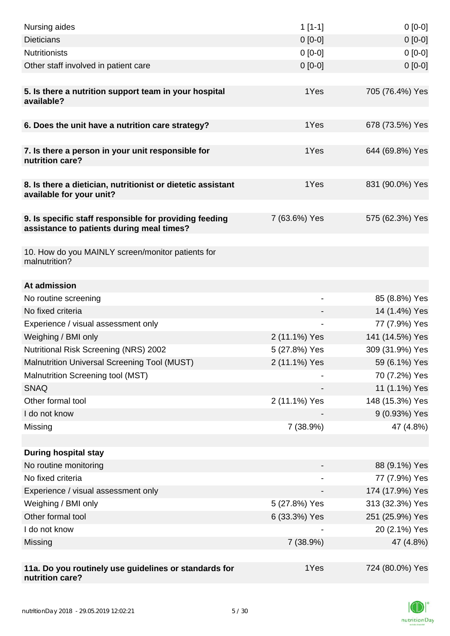| Nursing aides                                                                                       | $1$ [1-1]     | $0[0-0]$        |
|-----------------------------------------------------------------------------------------------------|---------------|-----------------|
| <b>Dieticians</b>                                                                                   | $0 [0-0]$     | $0[0-0]$        |
| <b>Nutritionists</b>                                                                                | $0[0-0]$      | $0[0-0]$        |
| Other staff involved in patient care                                                                | $0[0-0]$      | $0 [0-0]$       |
|                                                                                                     |               |                 |
| 5. Is there a nutrition support team in your hospital<br>available?                                 | 1Yes          | 705 (76.4%) Yes |
| 6. Does the unit have a nutrition care strategy?                                                    | 1Yes          | 678 (73.5%) Yes |
|                                                                                                     |               |                 |
| 7. Is there a person in your unit responsible for<br>nutrition care?                                | 1Yes          | 644 (69.8%) Yes |
| 8. Is there a dietician, nutritionist or dietetic assistant<br>available for your unit?             | 1Yes          | 831 (90.0%) Yes |
| 9. Is specific staff responsible for providing feeding<br>assistance to patients during meal times? | 7 (63.6%) Yes | 575 (62.3%) Yes |
| 10. How do you MAINLY screen/monitor patients for<br>malnutrition?                                  |               |                 |
| At admission                                                                                        |               |                 |
| No routine screening                                                                                |               | 85 (8.8%) Yes   |
| No fixed criteria                                                                                   |               | 14 (1.4%) Yes   |
| Experience / visual assessment only                                                                 |               | 77 (7.9%) Yes   |
| Weighing / BMI only                                                                                 | 2 (11.1%) Yes | 141 (14.5%) Yes |
| Nutritional Risk Screening (NRS) 2002                                                               | 5 (27.8%) Yes | 309 (31.9%) Yes |
| Malnutrition Universal Screening Tool (MUST)                                                        | 2 (11.1%) Yes | 59 (6.1%) Yes   |
| Malnutrition Screening tool (MST)                                                                   |               | 70 (7.2%) Yes   |
| <b>SNAQ</b>                                                                                         |               | 11 (1.1%) Yes   |
| Other formal tool                                                                                   | 2 (11.1%) Yes | 148 (15.3%) Yes |
| I do not know                                                                                       |               | 9 (0.93%) Yes   |
| Missing                                                                                             | 7 (38.9%)     | 47 (4.8%)       |
|                                                                                                     |               |                 |
| <b>During hospital stay</b>                                                                         |               |                 |
| No routine monitoring                                                                               |               | 88 (9.1%) Yes   |
| No fixed criteria                                                                                   |               | 77 (7.9%) Yes   |
| Experience / visual assessment only                                                                 |               | 174 (17.9%) Yes |
| Weighing / BMI only                                                                                 | 5 (27.8%) Yes | 313 (32.3%) Yes |
| Other formal tool                                                                                   | 6 (33.3%) Yes | 251 (25.9%) Yes |
| I do not know                                                                                       |               | 20 (2.1%) Yes   |
| Missing                                                                                             | 7 (38.9%)     | 47 (4.8%)       |
|                                                                                                     |               |                 |
| 11a. Do you routinely use guidelines or standards for<br>nutrition care?                            | 1Yes          | 724 (80.0%) Yes |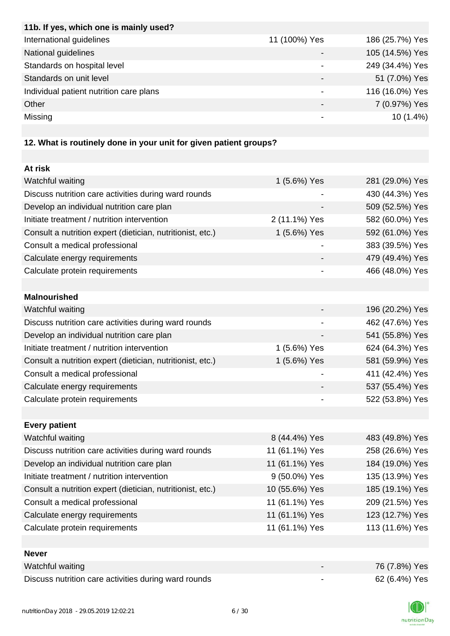| 11b. If yes, which one is mainly used?  |               |                 |
|-----------------------------------------|---------------|-----------------|
| International guidelines                | 11 (100%) Yes | 186 (25.7%) Yes |
| National guidelines                     |               | 105 (14.5%) Yes |
| Standards on hospital level             |               | 249 (34.4%) Yes |
| Standards on unit level                 |               | 51 (7.0%) Yes   |
| Individual patient nutrition care plans |               | 116 (16.0%) Yes |
| Other                                   |               | 7 (0.97%) Yes   |
| Missing                                 |               | $10(1.4\%)$     |
|                                         |               |                 |

# **12. What is routinely done in your unit for given patient groups?**

| At risk                                                    |                |                 |
|------------------------------------------------------------|----------------|-----------------|
| Watchful waiting                                           | 1 (5.6%) Yes   | 281 (29.0%) Yes |
| Discuss nutrition care activities during ward rounds       |                | 430 (44.3%) Yes |
| Develop an individual nutrition care plan                  |                | 509 (52.5%) Yes |
| Initiate treatment / nutrition intervention                | 2 (11.1%) Yes  | 582 (60.0%) Yes |
| Consult a nutrition expert (dietician, nutritionist, etc.) | 1 (5.6%) Yes   | 592 (61.0%) Yes |
| Consult a medical professional                             |                | 383 (39.5%) Yes |
| Calculate energy requirements                              |                | 479 (49.4%) Yes |
| Calculate protein requirements                             |                | 466 (48.0%) Yes |
|                                                            |                |                 |
| <b>Malnourished</b>                                        |                |                 |
| Watchful waiting                                           |                | 196 (20.2%) Yes |
| Discuss nutrition care activities during ward rounds       |                | 462 (47.6%) Yes |
| Develop an individual nutrition care plan                  |                | 541 (55.8%) Yes |
| Initiate treatment / nutrition intervention                | 1 (5.6%) Yes   | 624 (64.3%) Yes |
| Consult a nutrition expert (dietician, nutritionist, etc.) | 1 (5.6%) Yes   | 581 (59.9%) Yes |
| Consult a medical professional                             |                | 411 (42.4%) Yes |
| Calculate energy requirements                              |                | 537 (55.4%) Yes |
| Calculate protein requirements                             |                | 522 (53.8%) Yes |
|                                                            |                |                 |
| <b>Every patient</b>                                       |                |                 |
| Watchful waiting                                           | 8 (44.4%) Yes  | 483 (49.8%) Yes |
| Discuss nutrition care activities during ward rounds       | 11 (61.1%) Yes | 258 (26.6%) Yes |
| Develop an individual nutrition care plan                  | 11 (61.1%) Yes | 184 (19.0%) Yes |
| Initiate treatment / nutrition intervention                | 9 (50.0%) Yes  | 135 (13.9%) Yes |
| Consult a nutrition expert (dietician, nutritionist, etc.) | 10 (55.6%) Yes | 185 (19.1%) Yes |
| Consult a medical professional                             | 11 (61.1%) Yes | 209 (21.5%) Yes |
| Calculate energy requirements                              | 11 (61.1%) Yes | 123 (12.7%) Yes |
| Calculate protein requirements                             | 11 (61.1%) Yes | 113 (11.6%) Yes |
|                                                            |                |                 |
| <b>Never</b>                                               |                |                 |
| Watchful waiting                                           |                | 76 (7.8%) Yes   |
| Discuss nutrition care activities during ward rounds       |                | 62 (6.4%) Yes   |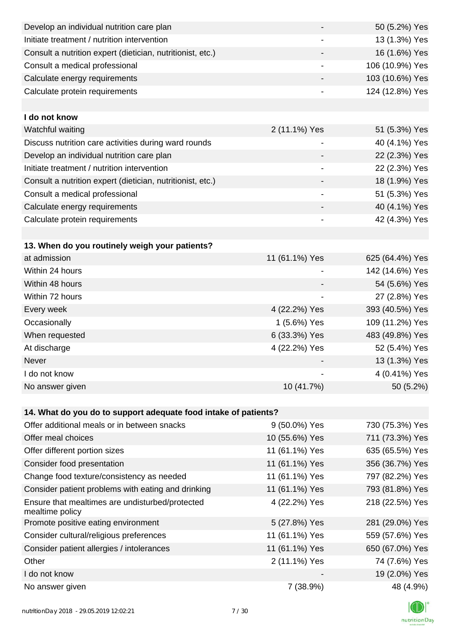| Develop an individual nutrition care plan                          |                          | 50 (5.2%) Yes   |
|--------------------------------------------------------------------|--------------------------|-----------------|
| Initiate treatment / nutrition intervention                        |                          | 13 (1.3%) Yes   |
| Consult a nutrition expert (dietician, nutritionist, etc.)         |                          | 16 (1.6%) Yes   |
| Consult a medical professional                                     | -                        | 106 (10.9%) Yes |
| Calculate energy requirements                                      | -                        | 103 (10.6%) Yes |
| Calculate protein requirements                                     |                          | 124 (12.8%) Yes |
|                                                                    |                          |                 |
| I do not know                                                      |                          |                 |
| Watchful waiting                                                   | 2 (11.1%) Yes            | 51 (5.3%) Yes   |
| Discuss nutrition care activities during ward rounds               | -                        | 40 (4.1%) Yes   |
| Develop an individual nutrition care plan                          |                          | 22 (2.3%) Yes   |
| Initiate treatment / nutrition intervention                        | -                        | 22 (2.3%) Yes   |
| Consult a nutrition expert (dietician, nutritionist, etc.)         |                          | 18 (1.9%) Yes   |
| Consult a medical professional                                     |                          | 51 (5.3%) Yes   |
| Calculate energy requirements                                      | -                        | 40 (4.1%) Yes   |
| Calculate protein requirements                                     | -                        | 42 (4.3%) Yes   |
|                                                                    |                          |                 |
| 13. When do you routinely weigh your patients?                     |                          |                 |
| at admission                                                       | 11 (61.1%) Yes           | 625 (64.4%) Yes |
| Within 24 hours                                                    |                          | 142 (14.6%) Yes |
| Within 48 hours                                                    |                          | 54 (5.6%) Yes   |
| Within 72 hours                                                    | $\overline{\phantom{a}}$ | 27 (2.8%) Yes   |
| Every week                                                         | 4 (22.2%) Yes            | 393 (40.5%) Yes |
| Occasionally                                                       | 1 (5.6%) Yes             | 109 (11.2%) Yes |
| When requested                                                     | 6 (33.3%) Yes            | 483 (49.8%) Yes |
| At discharge                                                       | 4 (22.2%) Yes            | 52 (5.4%) Yes   |
| Never                                                              |                          | 13 (1.3%) Yes   |
| I do not know                                                      |                          | 4 (0.41%) Yes   |
| No answer given                                                    | 10 (41.7%)               | 50 (5.2%)       |
|                                                                    |                          |                 |
| 14. What do you do to support adequate food intake of patients?    |                          |                 |
| Offer additional meals or in between snacks                        | 9 (50.0%) Yes            | 730 (75.3%) Yes |
| Offer meal choices                                                 | 10 (55.6%) Yes           | 711 (73.3%) Yes |
| Offer different portion sizes                                      | 11 (61.1%) Yes           | 635 (65.5%) Yes |
| Consider food presentation                                         | 11 (61.1%) Yes           | 356 (36.7%) Yes |
| Change food texture/consistency as needed                          | 11 (61.1%) Yes           | 797 (82.2%) Yes |
| Consider patient problems with eating and drinking                 | 11 (61.1%) Yes           | 793 (81.8%) Yes |
| Ensure that mealtimes are undisturbed/protected<br>mealtime policy | 4 (22.2%) Yes            | 218 (22.5%) Yes |
| Promote positive eating environment                                | 5 (27.8%) Yes            | 281 (29.0%) Yes |
| Consider cultural/religious preferences                            | 11 (61.1%) Yes           | 559 (57.6%) Yes |
| Consider patient allergies / intolerances                          | 11 (61.1%) Yes           | 650 (67.0%) Yes |
| Other                                                              | 2 (11.1%) Yes            | 74 (7.6%) Yes   |
| I do not know                                                      |                          | 19 (2.0%) Yes   |
| No answer given                                                    | 7 (38.9%)                | 48 (4.9%)       |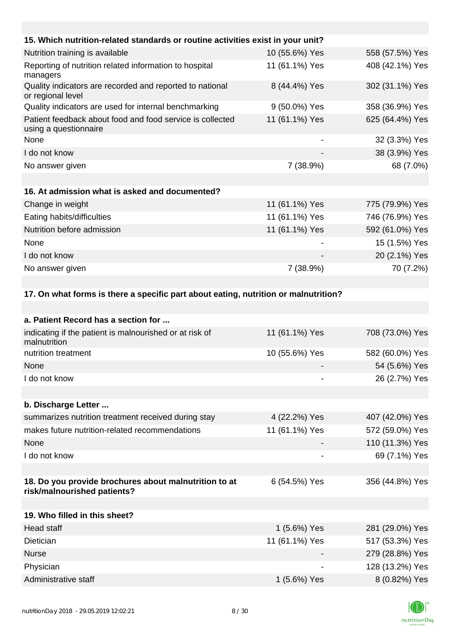| 15. Which nutrition-related standards or routine activities exist in your unit?     |                |                 |
|-------------------------------------------------------------------------------------|----------------|-----------------|
| Nutrition training is available                                                     | 10 (55.6%) Yes | 558 (57.5%) Yes |
| Reporting of nutrition related information to hospital<br>managers                  | 11 (61.1%) Yes | 408 (42.1%) Yes |
| Quality indicators are recorded and reported to national<br>or regional level       | 8 (44.4%) Yes  | 302 (31.1%) Yes |
| Quality indicators are used for internal benchmarking                               | 9 (50.0%) Yes  | 358 (36.9%) Yes |
| Patient feedback about food and food service is collected<br>using a questionnaire  | 11 (61.1%) Yes | 625 (64.4%) Yes |
| None                                                                                |                | 32 (3.3%) Yes   |
| I do not know                                                                       |                | 38 (3.9%) Yes   |
| No answer given                                                                     | 7 (38.9%)      | 68 (7.0%)       |
|                                                                                     |                |                 |
| 16. At admission what is asked and documented?                                      |                |                 |
| Change in weight                                                                    | 11 (61.1%) Yes | 775 (79.9%) Yes |
| Eating habits/difficulties                                                          | 11 (61.1%) Yes | 746 (76.9%) Yes |
| Nutrition before admission                                                          | 11 (61.1%) Yes | 592 (61.0%) Yes |
| None                                                                                |                | 15 (1.5%) Yes   |
| I do not know                                                                       |                | 20 (2.1%) Yes   |
| No answer given                                                                     | 7 (38.9%)      | 70 (7.2%)       |
|                                                                                     |                |                 |
| 17. On what forms is there a specific part about eating, nutrition or malnutrition? |                |                 |
|                                                                                     |                |                 |
| a. Patient Record has a section for                                                 |                |                 |
| indicating if the patient is malnourished or at risk of<br>malnutrition             | 11 (61.1%) Yes | 708 (73.0%) Yes |
| nutrition treatment                                                                 | 10 (55.6%) Yes | 582 (60.0%) Yes |
| None                                                                                |                | 54 (5.6%) Yes   |
| I do not know                                                                       |                | 26 (2.7%) Yes   |
|                                                                                     |                |                 |
| b. Discharge Letter                                                                 |                |                 |
| summarizes nutrition treatment received during stay                                 | 4 (22.2%) Yes  | 407 (42.0%) Yes |
| makes future nutrition-related recommendations                                      | 11 (61.1%) Yes | 572 (59.0%) Yes |
| None                                                                                |                | 110 (11.3%) Yes |
| I do not know                                                                       |                | 69 (7.1%) Yes   |
|                                                                                     |                |                 |

#### **18. Do you provide brochures about malnutrition to at risk/malnourished patients?** 6 (54.5%) Yes 356 (44.8%) Yes

| 19. Who filled in this sheet? |                |                 |
|-------------------------------|----------------|-----------------|
| Head staff                    | 1 (5.6%) Yes   | 281 (29.0%) Yes |
| Dietician                     | 11 (61.1%) Yes | 517 (53.3%) Yes |
| <b>Nurse</b>                  |                | 279 (28.8%) Yes |
| Physician                     |                | 128 (13.2%) Yes |
| Administrative staff          | 1 (5.6%) Yes   | 8 (0.82%) Yes   |

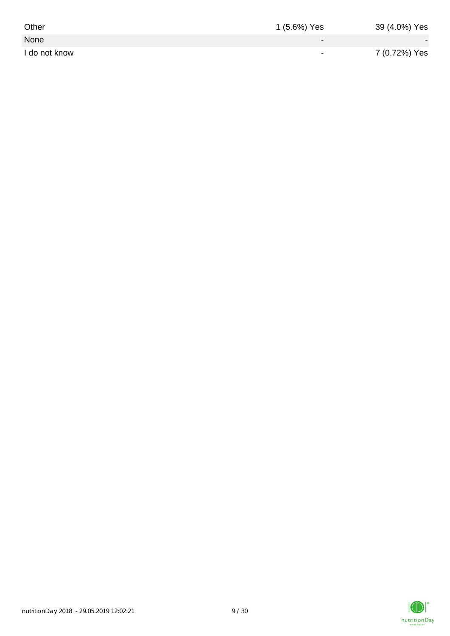| Other         | 1 (5.6%) Yes             | 39 (4.0%) Yes |
|---------------|--------------------------|---------------|
| None          | $\sim$                   |               |
| I do not know | $\overline{\phantom{0}}$ | 7 (0.72%) Yes |

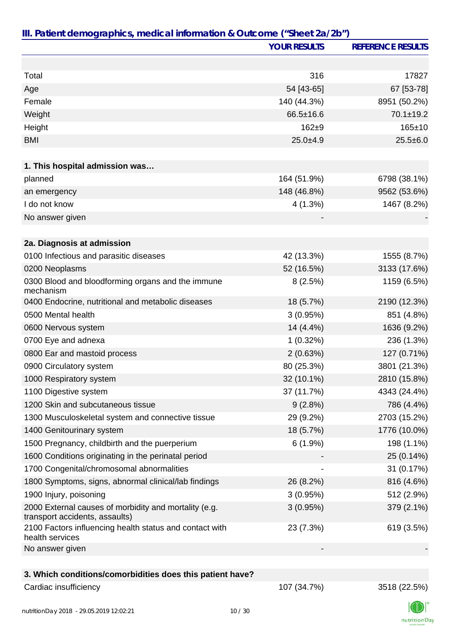|                                                                                         | <b>YOUR RESULTS</b> | <b>REFERENCE RESULTS</b> |
|-----------------------------------------------------------------------------------------|---------------------|--------------------------|
|                                                                                         |                     |                          |
| Total                                                                                   | 316                 | 17827                    |
| Age                                                                                     | 54 [43-65]          | 67 [53-78]               |
| Female                                                                                  | 140 (44.3%)         | 8951 (50.2%)             |
| Weight                                                                                  | $66.5 \pm 16.6$     | $70.1 \pm 19.2$          |
| Height                                                                                  | $162 + 9$           | $165 + 10$               |
| <b>BMI</b>                                                                              | $25.0 + 4.9$        | $25.5 \pm 6.0$           |
| 1. This hospital admission was                                                          |                     |                          |
| planned                                                                                 | 164 (51.9%)         | 6798 (38.1%)             |
| an emergency                                                                            | 148 (46.8%)         | 9562 (53.6%)             |
| I do not know                                                                           | 4(1.3%)             | 1467 (8.2%)              |
| No answer given                                                                         |                     |                          |
|                                                                                         |                     |                          |
| 2a. Diagnosis at admission                                                              |                     |                          |
| 0100 Infectious and parasitic diseases                                                  | 42 (13.3%)          | 1555 (8.7%)              |
| 0200 Neoplasms                                                                          | 52 (16.5%)          | 3133 (17.6%)             |
| 0300 Blood and bloodforming organs and the immune<br>mechanism                          | 8(2.5%)             | 1159 (6.5%)              |
| 0400 Endocrine, nutritional and metabolic diseases                                      | 18 (5.7%)           | 2190 (12.3%)             |
| 0500 Mental health                                                                      | 3(0.95%)            | 851 (4.8%)               |
| 0600 Nervous system                                                                     | 14 (4.4%)           | 1636 (9.2%)              |
| 0700 Eye and adnexa                                                                     | $1(0.32\%)$         | 236 (1.3%)               |
| 0800 Ear and mastoid process                                                            | 2(0.63%)            | 127 (0.71%)              |
| 0900 Circulatory system                                                                 | 80 (25.3%)          | 3801 (21.3%)             |
| 1000 Respiratory system                                                                 | 32 (10.1%)          | 2810 (15.8%)             |
| 1100 Digestive system                                                                   | 37 (11.7%)          | 4343 (24.4%)             |
| 1200 Skin and subcutaneous tissue                                                       | 9(2.8%)             | 786 (4.4%)               |
| 1300 Musculoskeletal system and connective tissue                                       | 29 (9.2%)           | 2703 (15.2%)             |
| 1400 Genitourinary system                                                               | 18 (5.7%)           | 1776 (10.0%)             |
| 1500 Pregnancy, childbirth and the puerperium                                           | $6(1.9\%)$          | 198 (1.1%)               |
| 1600 Conditions originating in the perinatal period                                     |                     | 25 (0.14%)               |
| 1700 Congenital/chromosomal abnormalities                                               |                     | 31 (0.17%)               |
| 1800 Symptoms, signs, abnormal clinical/lab findings                                    | 26 (8.2%)           | 816 (4.6%)               |
| 1900 Injury, poisoning                                                                  | 3(0.95%)            | 512 (2.9%)               |
| 2000 External causes of morbidity and mortality (e.g.<br>transport accidents, assaults) | 3(0.95%)            | 379 (2.1%)               |
| 2100 Factors influencing health status and contact with<br>health services              | 23 (7.3%)           | 619 (3.5%)               |
| No answer given                                                                         |                     |                          |
|                                                                                         |                     |                          |
| 3. Which conditions/comorbidities does this patient have?                               |                     |                          |
| Cardiac insufficiency                                                                   | 107 (34.7%)         | 3518 (22.5%)             |

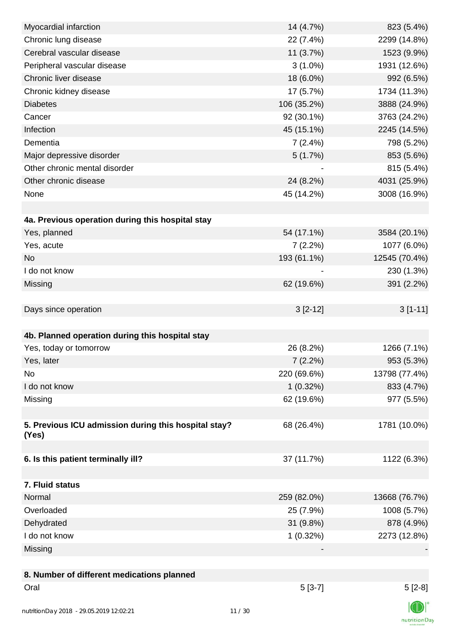| Myocardial infarction                                | 14 (4.7%)   | 823 (5.4%)    |
|------------------------------------------------------|-------------|---------------|
| Chronic lung disease                                 | 22 (7.4%)   | 2299 (14.8%)  |
| Cerebral vascular disease                            | 11(3.7%)    | 1523 (9.9%)   |
| Peripheral vascular disease                          | $3(1.0\%)$  | 1931 (12.6%)  |
| Chronic liver disease                                | 18 (6.0%)   | 992 (6.5%)    |
| Chronic kidney disease                               | 17 (5.7%)   | 1734 (11.3%)  |
| <b>Diabetes</b>                                      | 106 (35.2%) | 3888 (24.9%)  |
| Cancer                                               | 92 (30.1%)  | 3763 (24.2%)  |
| Infection                                            | 45 (15.1%)  | 2245 (14.5%)  |
| Dementia                                             | 7(2.4%)     | 798 (5.2%)    |
| Major depressive disorder                            | 5(1.7%)     | 853 (5.6%)    |
| Other chronic mental disorder                        |             | 815 (5.4%)    |
| Other chronic disease                                | 24 (8.2%)   | 4031 (25.9%)  |
| None                                                 | 45 (14.2%)  | 3008 (16.9%)  |
|                                                      |             |               |
| 4a. Previous operation during this hospital stay     |             |               |
| Yes, planned                                         | 54 (17.1%)  | 3584 (20.1%)  |
| Yes, acute                                           | 7(2.2%)     | 1077 (6.0%)   |
| <b>No</b>                                            | 193 (61.1%) | 12545 (70.4%) |
| I do not know                                        |             | 230 (1.3%)    |
| Missing                                              | 62 (19.6%)  | 391 (2.2%)    |
|                                                      |             |               |
| Days since operation                                 | $3[2-12]$   | $3[1-11]$     |
|                                                      |             |               |
| 4b. Planned operation during this hospital stay      |             |               |
| Yes, today or tomorrow                               | 26 (8.2%)   | 1266 (7.1%)   |
| Yes, later                                           | $7(2.2\%)$  | 953 (5.3%)    |
| No                                                   | 220 (69.6%) | 13798 (77.4%) |
| I do not know                                        | $1(0.32\%)$ | 833 (4.7%)    |
| Missing                                              | 62 (19.6%)  | 977 (5.5%)    |
|                                                      |             |               |
| 5. Previous ICU admission during this hospital stay? | 68 (26.4%)  | 1781 (10.0%)  |
| (Yes)                                                |             |               |
|                                                      |             |               |
| 6. Is this patient terminally ill?                   | 37 (11.7%)  | 1122 (6.3%)   |
|                                                      |             |               |
| 7. Fluid status                                      |             |               |
| Normal                                               | 259 (82.0%) | 13668 (76.7%) |
| Overloaded                                           | 25 (7.9%)   | 1008 (5.7%)   |
| Dehydrated                                           | 31 (9.8%)   | 878 (4.9%)    |
| I do not know                                        | 1(0.32%)    | 2273 (12.8%)  |
| Missing                                              |             |               |
|                                                      |             |               |
| 8. Number of different medications planned           |             |               |
| Oral                                                 | $5[3-7]$    | $5[2-8]$      |
|                                                      |             | $\sqrt{N}$    |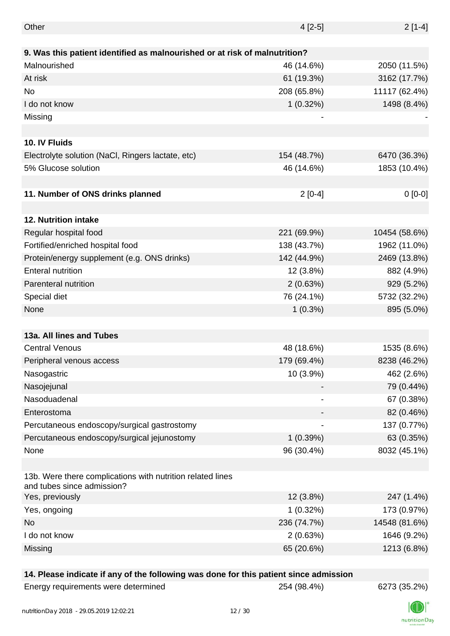| Other                                                                                    | $4[2-5]$    | $2[1-4]$      |
|------------------------------------------------------------------------------------------|-------------|---------------|
|                                                                                          |             |               |
| 9. Was this patient identified as malnourished or at risk of malnutrition?               |             |               |
| Malnourished                                                                             | 46 (14.6%)  | 2050 (11.5%)  |
| At risk                                                                                  | 61 (19.3%)  | 3162 (17.7%)  |
| No                                                                                       | 208 (65.8%) | 11117 (62.4%) |
| I do not know                                                                            | $1(0.32\%)$ | 1498 (8.4%)   |
| Missing                                                                                  |             |               |
|                                                                                          |             |               |
| 10. IV Fluids                                                                            |             |               |
| Electrolyte solution (NaCl, Ringers lactate, etc)                                        | 154 (48.7%) | 6470 (36.3%)  |
| 5% Glucose solution                                                                      | 46 (14.6%)  | 1853 (10.4%)  |
|                                                                                          |             |               |
| 11. Number of ONS drinks planned                                                         | $2[0-4]$    | $0[0-0]$      |
|                                                                                          |             |               |
| 12. Nutrition intake                                                                     |             |               |
| Regular hospital food                                                                    | 221 (69.9%) | 10454 (58.6%) |
| Fortified/enriched hospital food                                                         | 138 (43.7%) | 1962 (11.0%)  |
| Protein/energy supplement (e.g. ONS drinks)                                              | 142 (44.9%) | 2469 (13.8%)  |
| <b>Enteral nutrition</b>                                                                 | 12 (3.8%)   | 882 (4.9%)    |
| Parenteral nutrition                                                                     | 2(0.63%)    | 929 (5.2%)    |
| Special diet                                                                             | 76 (24.1%)  | 5732 (32.2%)  |
| None                                                                                     | $1(0.3\%)$  | 895 (5.0%)    |
|                                                                                          |             |               |
| 13a. All lines and Tubes                                                                 |             |               |
| <b>Central Venous</b>                                                                    | 48 (18.6%)  | 1535 (8.6%)   |
| Peripheral venous access                                                                 | 179 (69.4%) | 8238 (46.2%)  |
| Nasogastric                                                                              | 10 (3.9%)   | 462 (2.6%)    |
| Nasojejunal                                                                              |             | 79 (0.44%)    |
| Nasoduadenal                                                                             |             | 67 (0.38%)    |
| Enterostoma                                                                              |             | 82 (0.46%)    |
| Percutaneous endoscopy/surgical gastrostomy                                              |             | 137 (0.77%)   |
| Percutaneous endoscopy/surgical jejunostomy                                              | 1(0.39%)    | 63 (0.35%)    |
| None                                                                                     | 96 (30.4%)  | 8032 (45.1%)  |
|                                                                                          |             |               |
| 13b. Were there complications with nutrition related lines<br>and tubes since admission? |             |               |
| Yes, previously                                                                          | 12 (3.8%)   | 247 (1.4%)    |
| Yes, ongoing                                                                             | $1(0.32\%)$ | 173 (0.97%)   |
| No                                                                                       | 236 (74.7%) | 14548 (81.6%) |
| I do not know                                                                            | 2(0.63%)    | 1646 (9.2%)   |
| Missing                                                                                  | 65 (20.6%)  | 1213 (6.8%)   |
|                                                                                          |             |               |

## **14. Please indicate if any of the following was done for this patient since admission**

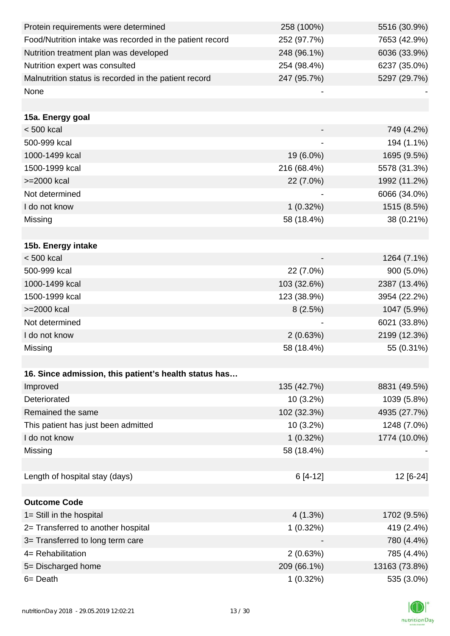| Protein requirements were determined                     | 258 (100%)  | 5516 (30.9%)  |
|----------------------------------------------------------|-------------|---------------|
| Food/Nutrition intake was recorded in the patient record | 252 (97.7%) | 7653 (42.9%)  |
| Nutrition treatment plan was developed                   | 248 (96.1%) | 6036 (33.9%)  |
| Nutrition expert was consulted                           | 254 (98.4%) | 6237 (35.0%)  |
| Malnutrition status is recorded in the patient record    | 247 (95.7%) | 5297 (29.7%)  |
| None                                                     |             |               |
|                                                          |             |               |
| 15a. Energy goal                                         |             |               |
| $< 500$ kcal                                             |             | 749 (4.2%)    |
| 500-999 kcal                                             |             | 194 (1.1%)    |
| 1000-1499 kcal                                           | 19 (6.0%)   | 1695 (9.5%)   |
| 1500-1999 kcal                                           | 216 (68.4%) | 5578 (31.3%)  |
| >=2000 kcal                                              | 22 (7.0%)   | 1992 (11.2%)  |
| Not determined                                           |             | 6066 (34.0%)  |
| I do not know                                            | $1(0.32\%)$ | 1515 (8.5%)   |
| Missing                                                  | 58 (18.4%)  | 38 (0.21%)    |
|                                                          |             |               |
| 15b. Energy intake                                       |             |               |
| < 500 kcal                                               |             | 1264 (7.1%)   |
| 500-999 kcal                                             | 22 (7.0%)   | 900 (5.0%)    |
| 1000-1499 kcal                                           | 103 (32.6%) | 2387 (13.4%)  |
| 1500-1999 kcal                                           | 123 (38.9%) | 3954 (22.2%)  |
| >=2000 kcal                                              | 8(2.5%)     | 1047 (5.9%)   |
| Not determined                                           |             | 6021 (33.8%)  |
| I do not know                                            | 2(0.63%)    | 2199 (12.3%)  |
| Missing                                                  | 58 (18.4%)  | 55 (0.31%)    |
|                                                          |             |               |
| 16. Since admission, this patient's health status has    |             |               |
| Improved                                                 | 135 (42.7%) | 8831 (49.5%)  |
| Deteriorated                                             | $10(3.2\%)$ | 1039 (5.8%)   |
| Remained the same                                        | 102 (32.3%) | 4935 (27.7%)  |
| This patient has just been admitted                      | $10(3.2\%)$ | 1248 (7.0%)   |
| I do not know                                            | $1(0.32\%)$ | 1774 (10.0%)  |
| Missing                                                  | 58 (18.4%)  |               |
|                                                          |             |               |
| Length of hospital stay (days)                           | $6[4-12]$   | 12 [6-24]     |
|                                                          |             |               |
| <b>Outcome Code</b>                                      |             |               |
| 1= Still in the hospital                                 | 4(1.3%)     | 1702 (9.5%)   |
| 2= Transferred to another hospital                       | 1(0.32%)    | 419 (2.4%)    |
| 3= Transferred to long term care                         |             | 780 (4.4%)    |
| 4= Rehabilitation                                        | 2(0.63%)    | 785 (4.4%)    |
| 5= Discharged home                                       | 209 (66.1%) | 13163 (73.8%) |
| 6= Death                                                 | 1(0.32%)    | 535 (3.0%)    |

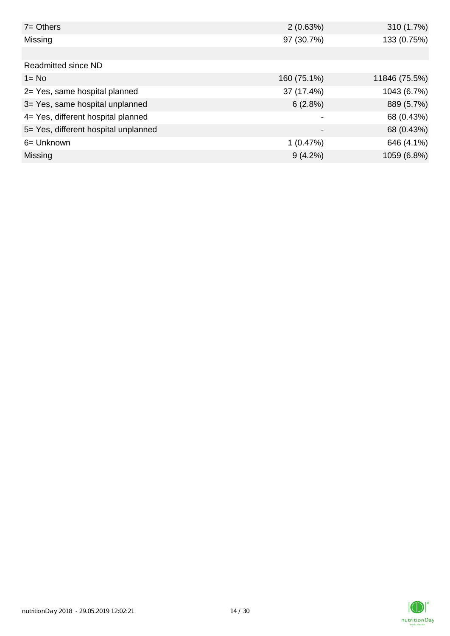| $7 =$ Others                         | 2(0.63%)                 | 310 (1.7%)    |
|--------------------------------------|--------------------------|---------------|
| Missing                              | 97 (30.7%)               | 133 (0.75%)   |
|                                      |                          |               |
| Readmitted since ND                  |                          |               |
| $1 = No$                             | 160 (75.1%)              | 11846 (75.5%) |
| 2= Yes, same hospital planned        | 37 (17.4%)               | 1043 (6.7%)   |
| 3= Yes, same hospital unplanned      | 6(2.8%)                  | 889 (5.7%)    |
| 4= Yes, different hospital planned   |                          | 68 (0.43%)    |
| 5= Yes, different hospital unplanned | $\overline{\phantom{0}}$ | 68 (0.43%)    |
| 6= Unknown                           | 1(0.47%)                 | 646 (4.1%)    |
| Missing                              | $9(4.2\%)$               | 1059 (6.8%)   |

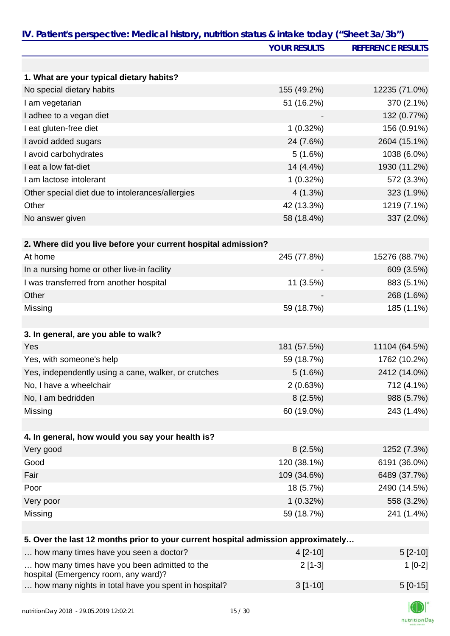|                                                                                      | <b>YOUR RESULTS</b> | <b>REFERENCE RESULTS</b> |
|--------------------------------------------------------------------------------------|---------------------|--------------------------|
|                                                                                      |                     |                          |
| 1. What are your typical dietary habits?                                             |                     |                          |
| No special dietary habits                                                            | 155 (49.2%)         | 12235 (71.0%)            |
| I am vegetarian                                                                      | 51 (16.2%)          | 370 (2.1%)               |
| I adhee to a vegan diet                                                              |                     | 132 (0.77%)              |
| I eat gluten-free diet                                                               | 1(0.32%)            | 156 (0.91%)              |
| I avoid added sugars                                                                 | 24 (7.6%)           | 2604 (15.1%)             |
| I avoid carbohydrates                                                                | 5(1.6%)             | 1038 (6.0%)              |
| I eat a low fat-diet                                                                 | 14 (4.4%)           | 1930 (11.2%)             |
| I am lactose intolerant                                                              | 1(0.32%)            | 572 (3.3%)               |
| Other special diet due to intolerances/allergies                                     | 4(1.3%)             | 323 (1.9%)               |
| Other                                                                                | 42 (13.3%)          | 1219 (7.1%)              |
| No answer given                                                                      | 58 (18.4%)          | 337 (2.0%)               |
|                                                                                      |                     |                          |
| 2. Where did you live before your current hospital admission?                        |                     |                          |
| At home                                                                              | 245 (77.8%)         | 15276 (88.7%)            |
| In a nursing home or other live-in facility                                          |                     | 609 (3.5%)               |
| I was transferred from another hospital                                              | 11 (3.5%)           | 883 (5.1%)               |
| Other                                                                                |                     | 268 (1.6%)               |
| Missing                                                                              | 59 (18.7%)          | 185 (1.1%)               |
|                                                                                      |                     |                          |
| 3. In general, are you able to walk?                                                 |                     |                          |
| Yes                                                                                  | 181 (57.5%)         | 11104 (64.5%)            |
| Yes, with someone's help                                                             | 59 (18.7%)          | 1762 (10.2%)             |
| Yes, independently using a cane, walker, or crutches                                 | 5(1.6%)             | 2412 (14.0%)             |
| No, I have a wheelchair                                                              | 2(0.63%)            | 712 (4.1%)               |
| No, I am bedridden                                                                   | 8(2.5%)             | 988 (5.7%)               |
| Missing                                                                              | 60 (19.0%)          | 243 (1.4%)               |
|                                                                                      |                     |                          |
| 4. In general, how would you say your health is?                                     |                     |                          |
| Very good                                                                            | 8(2.5%)             | 1252 (7.3%)              |
| Good                                                                                 | 120 (38.1%)         | 6191 (36.0%)             |
| Fair                                                                                 | 109 (34.6%)         | 6489 (37.7%)             |
| Poor                                                                                 | 18 (5.7%)           | 2490 (14.5%)             |
| Very poor                                                                            | $1(0.32\%)$         | 558 (3.2%)               |
| Missing                                                                              | 59 (18.7%)          | 241 (1.4%)               |
|                                                                                      |                     |                          |
| 5. Over the last 12 months prior to your current hospital admission approximately    |                     |                          |
| how many times have you seen a doctor?                                               | 4 [2-10]            | $5[2-10]$                |
| how many times have you been admitted to the<br>hospital (Emergency room, any ward)? | $2[1-3]$            | $1[0-2]$                 |
| how many nights in total have you spent in hospital?                                 | $3[1-10]$           | $5[0-15]$                |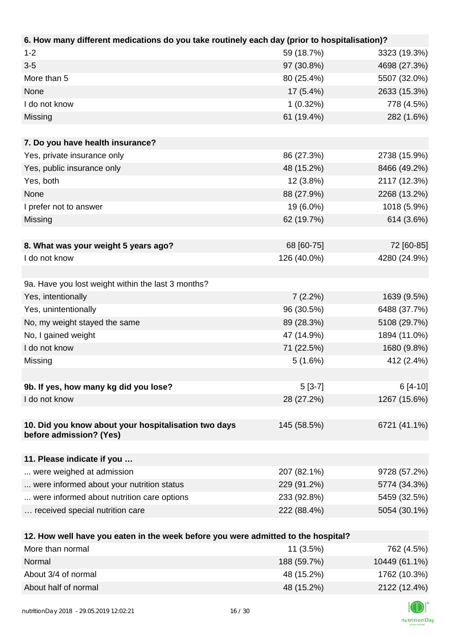| 6. How many different medications do you take routinely each day (prior to hospitalisation)? |             |              |
|----------------------------------------------------------------------------------------------|-------------|--------------|
| $1 - 2$                                                                                      | 59 (18.7%)  | 3323 (19.3%) |
| $3-5$                                                                                        | 97 (30.8%)  | 4698 (27.3%) |
| More than 5                                                                                  | 80 (25.4%)  | 5507 (32.0%) |
| None                                                                                         | 17 (5.4%)   | 2633 (15.3%) |
| I do not know                                                                                | 1(0.32%)    | 778 (4.5%)   |
| Missing                                                                                      | 61 (19.4%)  | 282 (1.6%)   |
|                                                                                              |             |              |
| 7. Do you have health insurance?                                                             |             |              |
| Yes, private insurance only                                                                  | 86 (27.3%)  | 2738 (15.9%) |
| Yes, public insurance only                                                                   | 48 (15.2%)  | 8466 (49.2%) |
| Yes, both                                                                                    | 12 (3.8%)   | 2117 (12.3%) |
| None                                                                                         | 88 (27.9%)  | 2268 (13.2%) |
| I prefer not to answer                                                                       | 19 (6.0%)   | 1018 (5.9%)  |
| Missing                                                                                      | 62 (19.7%)  | 614 (3.6%)   |
|                                                                                              |             |              |
| 8. What was your weight 5 years ago?                                                         | 68 [60-75]  | 72 [60-85]   |
| I do not know                                                                                | 126 (40.0%) | 4280 (24.9%) |
|                                                                                              |             |              |
| 9a. Have you lost weight within the last 3 months?                                           |             |              |
| Yes, intentionally                                                                           | 7(2.2%)     | 1639 (9.5%)  |
| Yes, unintentionally                                                                         | 96 (30.5%)  | 6488 (37.7%) |
| No, my weight stayed the same                                                                | 89 (28.3%)  | 5108 (29.7%) |
| No, I gained weight                                                                          | 47 (14.9%)  | 1894 (11.0%) |
| I do not know                                                                                | 71 (22.5%)  | 1680 (9.8%)  |
| Missing                                                                                      | 5(1.6%)     | 412 (2.4%)   |
|                                                                                              |             |              |
| 9b. If yes, how many kg did you lose?                                                        | $5[3-7]$    | $6[4-10]$    |
| I do not know                                                                                | 28 (27.2%)  | 1267 (15.6%) |
|                                                                                              |             |              |
| 10. Did you know about your hospitalisation two days<br>before admission? (Yes)              | 145 (58.5%) | 6721 (41.1%) |
| 11. Please indicate if you                                                                   |             |              |
| were weighed at admission                                                                    | 207 (82.1%) | 9728 (57.2%) |
| were informed about your nutrition status                                                    | 229 (91.2%) | 5774 (34.3%) |
| were informed about nutrition care options                                                   | 233 (92.8%) | 5459 (32.5%) |
| received special nutrition care                                                              | 222 (88.4%) | 5054 (30.1%) |
|                                                                                              |             |              |
| 12. How well have you eaten in the week before you were admitted to the hospital?            |             |              |
| More than normal                                                                             | 11 (3.5%)   | 762 (4.5%)   |
|                                                                                              |             |              |

| More than normal     | 11 (3.5%)   | 762 (4.5%)    |
|----------------------|-------------|---------------|
| Normal               | 188 (59.7%) | 10449 (61.1%) |
| About 3/4 of normal  | 48 (15.2%)  | 1762 (10.3%)  |
| About half of normal | 48 (15.2%)  | 2122 (12.4%)  |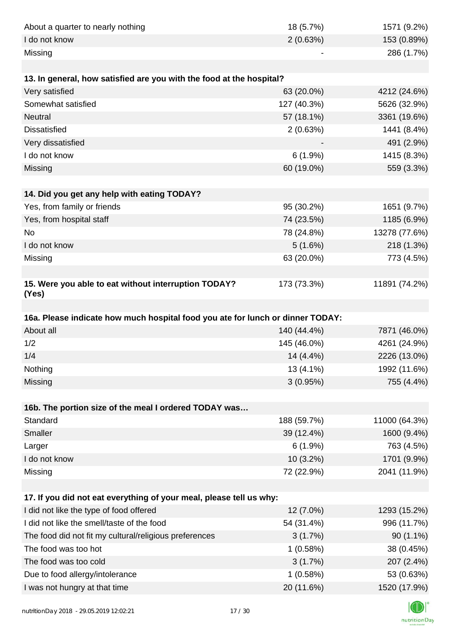| About a quarter to nearly nothing                                              | 18 (5.7%)              | 1571 (9.2%)                |
|--------------------------------------------------------------------------------|------------------------|----------------------------|
| I do not know                                                                  | 2(0.63%)               | 153 (0.89%)                |
| Missing                                                                        |                        | 286 (1.7%)                 |
|                                                                                |                        |                            |
| 13. In general, how satisfied are you with the food at the hospital?           |                        |                            |
| Very satisfied                                                                 | 63 (20.0%)             | 4212 (24.6%)               |
| Somewhat satisfied                                                             | 127 (40.3%)            | 5626 (32.9%)               |
| <b>Neutral</b>                                                                 | 57 (18.1%)             | 3361 (19.6%)               |
| <b>Dissatisfied</b>                                                            | 2(0.63%)               | 1441 (8.4%)                |
| Very dissatisfied                                                              |                        | 491 (2.9%)                 |
| I do not know                                                                  | 6(1.9%)                | 1415 (8.3%)                |
| Missing                                                                        | 60 (19.0%)             | 559 (3.3%)                 |
|                                                                                |                        |                            |
| 14. Did you get any help with eating TODAY?                                    |                        |                            |
| Yes, from family or friends                                                    | 95 (30.2%)             | 1651 (9.7%)                |
| Yes, from hospital staff                                                       | 74 (23.5%)             | 1185 (6.9%)                |
| <b>No</b>                                                                      | 78 (24.8%)             | 13278 (77.6%)              |
| I do not know                                                                  | 5(1.6%)                | 218 (1.3%)                 |
| Missing                                                                        | 63 (20.0%)             | 773 (4.5%)                 |
|                                                                                |                        |                            |
| 15. Were you able to eat without interruption TODAY?<br>(Yes)                  | 173 (73.3%)            | 11891 (74.2%)              |
|                                                                                |                        |                            |
| 16a. Please indicate how much hospital food you ate for lunch or dinner TODAY: |                        |                            |
| About all                                                                      | 140 (44.4%)            | 7871 (46.0%)               |
| 1/2                                                                            | 145 (46.0%)            | 4261 (24.9%)               |
| 1/4                                                                            | 14 (4.4%)              | 2226 (13.0%)               |
| Nothing                                                                        | 13 (4.1%)              | 1992 (11.6%)               |
| Missing                                                                        | 3(0.95%)               | 755 (4.4%)                 |
|                                                                                |                        |                            |
| 16b. The portion size of the meal I ordered TODAY was                          |                        |                            |
| Standard                                                                       | 188 (59.7%)            | 11000 (64.3%)              |
| <b>Smaller</b>                                                                 | 39 (12.4%)             | 1600 (9.4%)                |
| Larger                                                                         | 6(1.9%)                | 763 (4.5%)                 |
| I do not know                                                                  | 10 (3.2%)              | 1701 (9.9%)                |
| Missing                                                                        | 72 (22.9%)             | 2041 (11.9%)               |
|                                                                                |                        |                            |
| 17. If you did not eat everything of your meal, please tell us why:            |                        |                            |
| I did not like the type of food offered                                        | 12 (7.0%)              | 1293 (15.2%)               |
| I did not like the smell/taste of the food                                     | 54 (31.4%)             | 996 (11.7%)                |
| The food did not fit my cultural/religious preferences                         | 3(1.7%)                | $90(1.1\%)$                |
| The food was too hot                                                           | 1(0.58%)               | 38 (0.45%)                 |
| The food was too cold                                                          | 3(1.7%)                | 207 (2.4%)                 |
| Due to food allergy/intolerance                                                |                        |                            |
| I was not hungry at that time                                                  | 1(0.58%)<br>20 (11.6%) | 53 (0.63%)<br>1520 (17.9%) |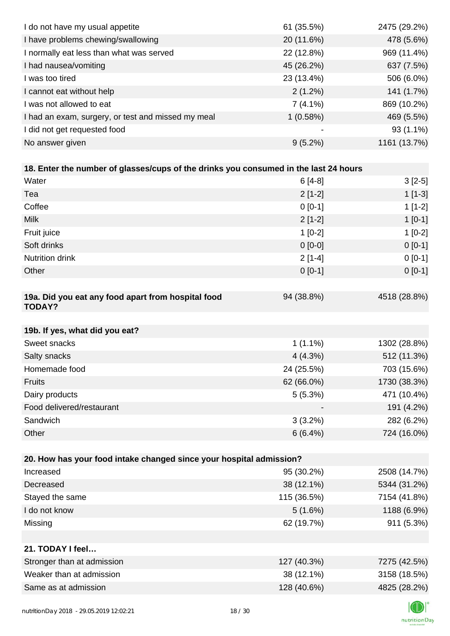| I do not have my usual appetite                                                      | 61 (35.5%)  | 2475 (29.2%) |
|--------------------------------------------------------------------------------------|-------------|--------------|
| I have problems chewing/swallowing                                                   | 20 (11.6%)  | 478 (5.6%)   |
| I normally eat less than what was served                                             | 22 (12.8%)  | 969 (11.4%)  |
| I had nausea/vomiting                                                                | 45 (26.2%)  | 637 (7.5%)   |
| I was too tired                                                                      | 23 (13.4%)  | 506 (6.0%)   |
| I cannot eat without help                                                            | 2(1.2%)     | 141 (1.7%)   |
| I was not allowed to eat                                                             | $7(4.1\%)$  | 869 (10.2%)  |
| I had an exam, surgery, or test and missed my meal                                   | 1(0.58%)    | 469 (5.5%)   |
| I did not get requested food                                                         |             | $93(1.1\%)$  |
| No answer given                                                                      | $9(5.2\%)$  | 1161 (13.7%) |
|                                                                                      |             |              |
| 18. Enter the number of glasses/cups of the drinks you consumed in the last 24 hours |             |              |
| Water                                                                                | $6[4-8]$    | $3[2-5]$     |
| Tea                                                                                  | $2[1-2]$    | $1[1-3]$     |
| Coffee                                                                               | $0[0-1]$    | $1[1-2]$     |
| <b>Milk</b>                                                                          | $2[1-2]$    | $1[0-1]$     |
| Fruit juice                                                                          | $1[0-2]$    | $1[0-2]$     |
| Soft drinks                                                                          | $0[0-0]$    | $0 [0-1]$    |
| Nutrition drink                                                                      | $2[1-4]$    | $0 [0-1]$    |
| Other                                                                                | $0[0-1]$    | $0 [0-1]$    |
|                                                                                      |             |              |
| 19a. Did you eat any food apart from hospital food<br><b>TODAY?</b>                  | 94 (38.8%)  | 4518 (28.8%) |
| 19b. If yes, what did you eat?                                                       |             |              |
| Sweet snacks                                                                         | $1(1.1\%)$  | 1302 (28.8%) |
| Salty snacks                                                                         | 4(4.3%)     | 512 (11.3%)  |
| Homemade food                                                                        | 24 (25.5%)  | 703 (15.6%)  |
| <b>Fruits</b>                                                                        | 62 (66.0%)  | 1730 (38.3%) |
| Dairy products                                                                       | 5(5.3%)     | 471 (10.4%)  |
| Food delivered/restaurant                                                            |             | 191 (4.2%)   |
| Sandwich                                                                             | $3(3.2\%)$  | 282 (6.2%)   |
| Other                                                                                | 6(6.4%)     | 724 (16.0%)  |
|                                                                                      |             |              |
| 20. How has your food intake changed since your hospital admission?                  |             |              |
| Increased                                                                            | 95 (30.2%)  | 2508 (14.7%) |
| Decreased                                                                            | 38 (12.1%)  | 5344 (31.2%) |
| Stayed the same                                                                      | 115 (36.5%) | 7154 (41.8%) |
| I do not know                                                                        | 5(1.6%)     | 1188 (6.9%)  |
| Missing                                                                              | 62 (19.7%)  | 911 (5.3%)   |
|                                                                                      |             |              |
| 21. TODAY I feel                                                                     |             |              |
| Stronger than at admission                                                           | 127 (40.3%) | 7275 (42.5%) |
| Weaker than at admission                                                             | 38 (12.1%)  | 3158 (18.5%) |
| Same as at admission                                                                 | 128 (40.6%) | 4825 (28.2%) |
|                                                                                      |             |              |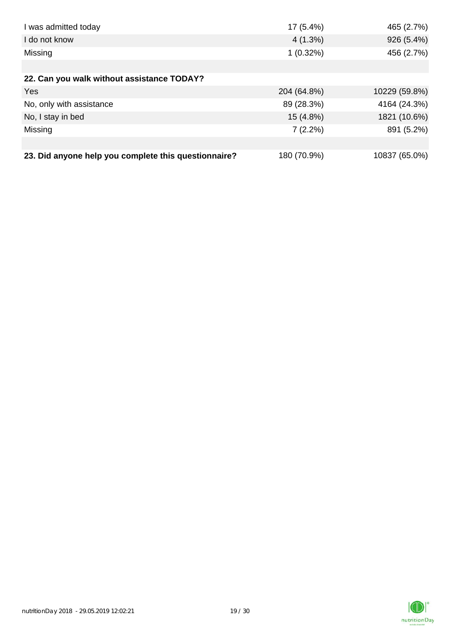| I was admitted today                                 | $17(5.4\%)$ | 465 (2.7%)    |
|------------------------------------------------------|-------------|---------------|
| I do not know                                        | $4(1.3\%)$  | 926 (5.4%)    |
| Missing                                              | $1(0.32\%)$ | 456 (2.7%)    |
|                                                      |             |               |
| 22. Can you walk without assistance TODAY?           |             |               |
| Yes                                                  | 204 (64.8%) | 10229 (59.8%) |
| No, only with assistance                             | 89 (28.3%)  | 4164 (24.3%)  |
| No, I stay in bed                                    | 15 (4.8%)   | 1821 (10.6%)  |
| Missing                                              | $7(2.2\%)$  | 891 (5.2%)    |
|                                                      |             |               |
| 23. Did anyone help you complete this questionnaire? | 180 (70.9%) | 10837 (65.0%) |

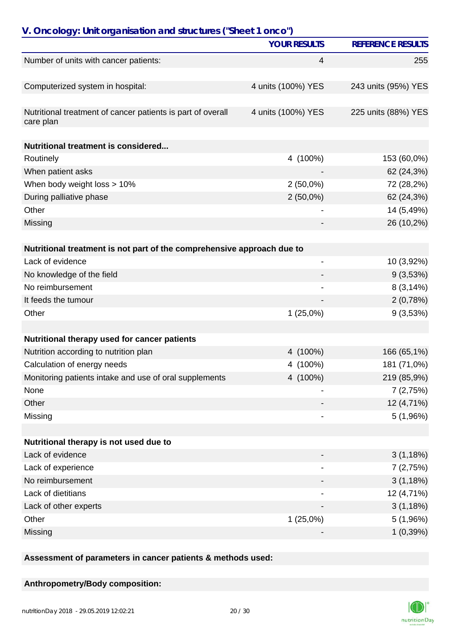| V. Oncology: Unit organisation and structures ("Sheet 1 onco")           |                     |                          |
|--------------------------------------------------------------------------|---------------------|--------------------------|
|                                                                          | <b>YOUR RESULTS</b> | <b>REFERENCE RESULTS</b> |
| Number of units with cancer patients:                                    | $\overline{4}$      | 255                      |
| Computerized system in hospital:                                         | 4 units (100%) YES  | 243 units (95%) YES      |
| Nutritional treatment of cancer patients is part of overall<br>care plan | 4 units (100%) YES  | 225 units (88%) YES      |
| Nutritional treatment is considered                                      |                     |                          |
| Routinely                                                                | 4 (100%)            | 153 (60,0%)              |
| When patient asks                                                        |                     | 62 (24,3%)               |
| When body weight loss > 10%                                              | $2(50,0\%)$         | 72 (28,2%)               |
| During palliative phase                                                  | $2(50,0\%)$         | 62 (24,3%)               |
| Other                                                                    |                     | 14 (5,49%)               |
| Missing                                                                  |                     | 26 (10,2%)               |
| Nutritional treatment is not part of the comprehensive approach due to   |                     |                          |
| Lack of evidence                                                         | -                   | 10 (3,92%)               |
| No knowledge of the field                                                |                     | 9(3,53%)                 |
| No reimbursement                                                         |                     | 8(3,14%)                 |
| It feeds the tumour                                                      |                     | 2(0,78%)                 |
| Other                                                                    | $1(25,0\%)$         | 9(3,53%)                 |
| Nutritional therapy used for cancer patients                             |                     |                          |
| Nutrition according to nutrition plan                                    | 4 (100%)            | 166 (65,1%)              |
| Calculation of energy needs                                              | 4 (100%)            | 181 (71,0%)              |
| Monitoring patients intake and use of oral supplements                   | 4 (100%)            | 219 (85,9%)              |
| None                                                                     |                     | 7(2,75%)                 |
| Other                                                                    |                     | 12 (4,71%)               |
| Missing                                                                  |                     | 5(1,96%)                 |
|                                                                          |                     |                          |
| Nutritional therapy is not used due to                                   |                     |                          |
| Lack of evidence                                                         |                     | 3(1,18%)                 |
| Lack of experience                                                       |                     | 7(2,75%)                 |
| No reimbursement                                                         |                     | 3(1,18%)                 |
| Lack of dietitians                                                       |                     | 12 (4,71%)               |
| Lack of other experts                                                    |                     | 3(1,18%)                 |
| Other                                                                    | $1(25,0\%)$         | 5(1,96%)                 |
| Missing                                                                  |                     | 1(0,39%)                 |

**Assessment of parameters in cancer patients & methods used:**

## **Anthropometry/Body composition:**

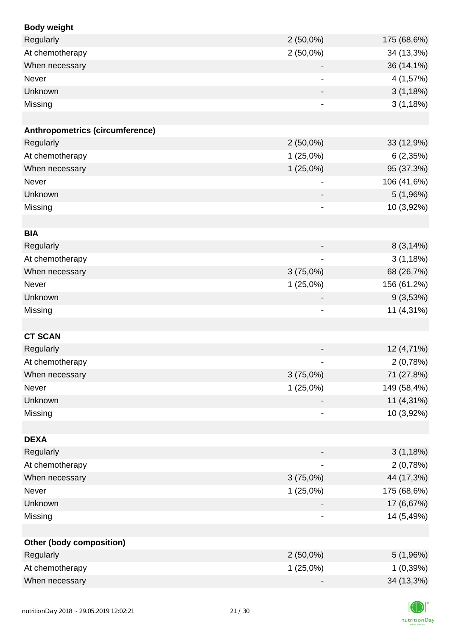| <b>Body weight</b>                     |                              |             |
|----------------------------------------|------------------------------|-------------|
| Regularly                              | $2(50,0\%)$                  | 175 (68,6%) |
| At chemotherapy                        | $2(50,0\%)$                  | 34 (13,3%)  |
| When necessary                         |                              | 36 (14,1%)  |
| Never                                  |                              | 4 (1,57%)   |
| Unknown                                |                              | 3(1,18%)    |
| Missing                                |                              | 3(1,18%)    |
|                                        |                              |             |
| <b>Anthropometrics (circumference)</b> |                              |             |
| Regularly                              | $2(50,0\%)$                  | 33 (12,9%)  |
| At chemotherapy                        | 1(25,0%)                     | 6(2,35%)    |
| When necessary                         | 1(25,0%)                     | 95 (37,3%)  |
| Never                                  |                              | 106 (41,6%) |
| Unknown                                |                              | 5(1,96%)    |
| Missing                                | $\overline{\phantom{a}}$     | 10 (3,92%)  |
|                                        |                              |             |
| <b>BIA</b>                             |                              |             |
| Regularly                              |                              | 8(3,14%)    |
| At chemotherapy                        |                              | 3(1,18%)    |
| When necessary                         | 3(75,0%)                     | 68 (26,7%)  |
| Never                                  | 1(25,0%)                     | 156 (61,2%) |
| Unknown                                | $\overline{\phantom{a}}$     | 9(3,53%)    |
| Missing                                | $\qquad \qquad \blacksquare$ | 11 (4,31%)  |
|                                        |                              |             |
| <b>CT SCAN</b>                         |                              |             |
| Regularly                              |                              | 12 (4,71%)  |
| At chemotherapy                        |                              | 2(0,78%)    |
| When necessary                         | 3(75,0%)                     | 71 (27,8%)  |
| Never                                  | $1(25,0\%)$                  | 149 (58,4%) |
| Unknown                                |                              | 11 (4,31%)  |
| Missing                                |                              | 10 (3,92%)  |
|                                        |                              |             |
| <b>DEXA</b>                            |                              |             |
| Regularly                              |                              | 3(1,18%)    |
| At chemotherapy                        | $\qquad \qquad \blacksquare$ | 2(0,78%)    |
| When necessary                         | 3(75,0%)                     | 44 (17,3%)  |
| Never                                  | 1(25,0%)                     | 175 (68,6%) |
| Unknown                                |                              | 17 (6,67%)  |
| Missing                                |                              | 14 (5,49%)  |
|                                        |                              |             |
| Other (body composition)               |                              |             |
| Regularly                              | $2(50,0\%)$                  | 5(1,96%)    |
| At chemotherapy                        | $1(25,0\%)$                  | 1(0,39%)    |
| When necessary                         |                              | 34 (13,3%)  |

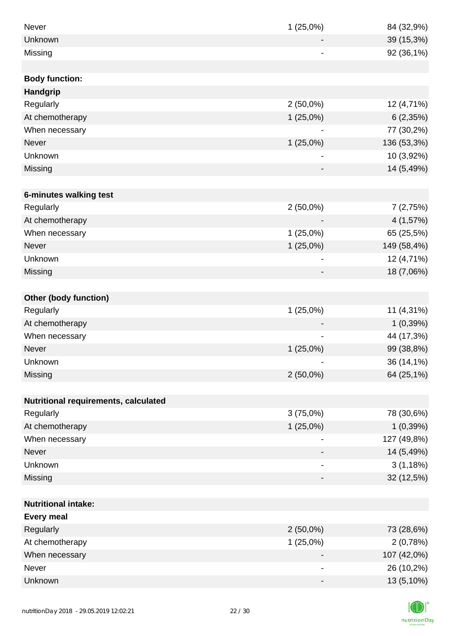| Never                                | 1(25,0%)                     | 84 (32,9%)  |
|--------------------------------------|------------------------------|-------------|
| Unknown                              |                              | 39 (15,3%)  |
| Missing                              |                              | 92 (36,1%)  |
|                                      |                              |             |
| <b>Body function:</b>                |                              |             |
| <b>Handgrip</b>                      |                              |             |
| Regularly                            | $2(50,0\%)$                  | 12 (4,71%)  |
| At chemotherapy                      | $1(25,0\%)$                  | 6(2,35%)    |
| When necessary                       |                              | 77 (30,2%)  |
| <b>Never</b>                         | 1(25,0%)                     | 136 (53,3%) |
| Unknown                              |                              | 10 (3,92%)  |
| Missing                              |                              | 14 (5,49%)  |
|                                      |                              |             |
| 6-minutes walking test               |                              |             |
| Regularly                            | $2(50,0\%)$                  | 7(2,75%)    |
| At chemotherapy                      |                              | 4 (1,57%)   |
| When necessary                       | $1(25,0\%)$                  | 65 (25,5%)  |
| Never                                | $1(25,0\%)$                  | 149 (58,4%) |
| Unknown                              |                              | 12 (4,71%)  |
| Missing                              |                              | 18 (7,06%)  |
|                                      |                              |             |
| <b>Other (body function)</b>         |                              |             |
| Regularly                            | $1(25,0\%)$                  | 11 (4,31%)  |
| At chemotherapy                      |                              | 1(0,39%)    |
| When necessary                       |                              | 44 (17,3%)  |
| Never                                | $1(25,0\%)$                  | 99 (38,8%)  |
| Unknown                              |                              | 36 (14,1%)  |
| Missing                              | $2(50,0\%)$                  | 64 (25,1%)  |
|                                      |                              |             |
| Nutritional requirements, calculated |                              |             |
| Regularly                            | 3(75,0%)                     | 78 (30,6%)  |
| At chemotherapy                      | $1(25,0\%)$                  | 1(0,39%)    |
| When necessary                       |                              | 127 (49,8%) |
| <b>Never</b>                         |                              | 14 (5,49%)  |
| Unknown                              | $\qquad \qquad \blacksquare$ | 3(1,18%)    |
| Missing                              |                              | 32 (12,5%)  |
|                                      |                              |             |
| <b>Nutritional intake:</b>           |                              |             |
| <b>Every meal</b>                    |                              |             |
| Regularly                            | $2(50,0\%)$                  | 73 (28,6%)  |
| At chemotherapy                      | $1(25,0\%)$                  | 2(0,78%)    |
| When necessary                       |                              | 107 (42,0%) |
| Never                                | $\overline{\phantom{a}}$     | 26 (10,2%)  |
| Unknown                              | $\qquad \qquad \blacksquare$ | 13 (5,10%)  |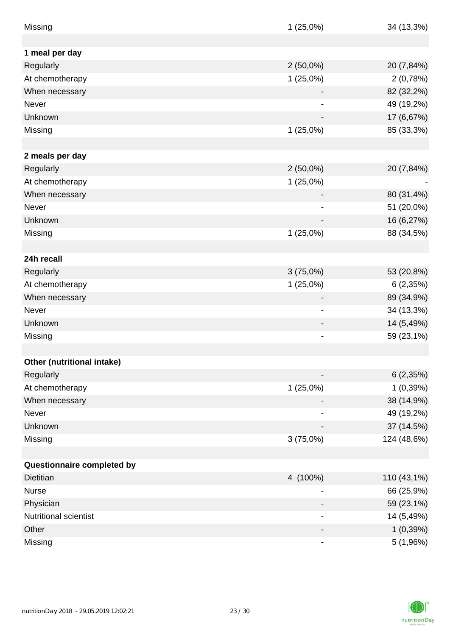| Missing                    | $1(25,0\%)$              | 34 (13,3%)  |
|----------------------------|--------------------------|-------------|
|                            |                          |             |
| 1 meal per day             |                          |             |
| Regularly                  | $2(50,0\%)$              | 20 (7,84%)  |
| At chemotherapy            | 1(25,0%)                 | 2(0,78%)    |
| When necessary             |                          | 82 (32,2%)  |
| <b>Never</b>               |                          | 49 (19,2%)  |
| Unknown                    |                          | 17 (6,67%)  |
| Missing                    | 1(25,0%)                 | 85 (33,3%)  |
|                            |                          |             |
| 2 meals per day            |                          |             |
| Regularly                  | $2(50,0\%)$              | 20 (7,84%)  |
| At chemotherapy            | $1(25,0\%)$              |             |
| When necessary             |                          | 80 (31,4%)  |
| Never                      |                          | 51 (20,0%)  |
| Unknown                    |                          | 16 (6,27%)  |
| Missing                    | $1(25,0\%)$              | 88 (34,5%)  |
|                            |                          |             |
| 24h recall                 |                          |             |
| Regularly                  | $3(75,0\%)$              | 53 (20,8%)  |
| At chemotherapy            | $1(25,0\%)$              | 6(2,35%)    |
| When necessary             |                          | 89 (34,9%)  |
| Never                      |                          | 34 (13,3%)  |
| Unknown                    |                          | 14 (5,49%)  |
| Missing                    | $\overline{\phantom{a}}$ | 59 (23,1%)  |
|                            |                          |             |
| Other (nutritional intake) |                          |             |
| Regularly                  |                          | 6(2,35%)    |
| At chemotherapy            | $1(25,0\%)$              | 1(0,39%)    |
| When necessary             |                          | 38 (14,9%)  |
| Never                      | $\overline{\phantom{a}}$ | 49 (19,2%)  |
| Unknown                    |                          | 37 (14,5%)  |
| Missing                    | $3(75,0\%)$              | 124 (48,6%) |
|                            |                          |             |
| Questionnaire completed by |                          |             |
| <b>Dietitian</b>           | 4 (100%)                 | 110 (43,1%) |
| <b>Nurse</b>               |                          | 66 (25,9%)  |
| Physician                  | -                        | 59 (23,1%)  |
| Nutritional scientist      | -                        | 14 (5,49%)  |
| Other                      |                          | 1(0,39%)    |
| Missing                    |                          | 5 (1,96%)   |

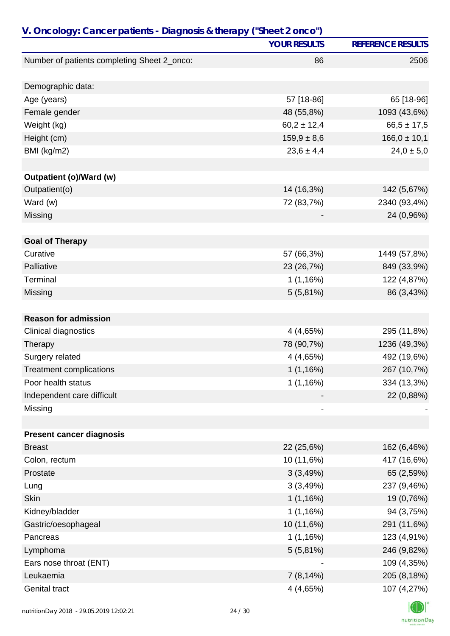|                                             | <b>YOUR RESULTS</b> | <b>REFERENCE RESULTS</b> |
|---------------------------------------------|---------------------|--------------------------|
| Number of patients completing Sheet 2_onco: | 86                  | 2506                     |
|                                             |                     |                          |
| Demographic data:                           |                     |                          |
| Age (years)                                 | 57 [18-86]          | 65 [18-96]               |
| Female gender                               | 48 (55,8%)          | 1093 (43,6%)             |
| Weight (kg)                                 | $60,2 \pm 12,4$     | $66,5 \pm 17,5$          |
| Height (cm)                                 | $159,9 \pm 8,6$     | $166,0 \pm 10,1$         |
| BMI (kg/m2)                                 | $23,6 \pm 4,4$      | $24,0 \pm 5,0$           |
| Outpatient (o)/Ward (w)                     |                     |                          |
| Outpatient(o)                               | 14 (16,3%)          | 142 (5,67%)              |
| Ward (w)                                    | 72 (83,7%)          | 2340 (93,4%)             |
| Missing                                     |                     | 24 (0,96%)               |
|                                             |                     |                          |
| <b>Goal of Therapy</b>                      |                     |                          |
| Curative                                    | 57 (66,3%)          | 1449 (57,8%)             |
| Palliative                                  | 23 (26,7%)          | 849 (33,9%)              |
| Terminal                                    | 1(1,16%)            | 122 (4,87%)              |
| Missing                                     | 5(5,81%)            | 86 (3,43%)               |
| <b>Reason for admission</b>                 |                     |                          |
| Clinical diagnostics                        | 4 (4,65%)           | 295 (11,8%)              |
| Therapy                                     | 78 (90,7%)          | 1236 (49,3%)             |
| Surgery related                             | 4(4,65%)            | 492 (19,6%)              |
| <b>Treatment complications</b>              | 1(1,16%)            | 267 (10,7%)              |
| Poor health status                          | 1(1,16%)            | 334 (13,3%)              |
| Independent care difficult                  |                     | 22 (0,88%)               |
| Missing                                     |                     |                          |
|                                             |                     |                          |
| <b>Present cancer diagnosis</b>             |                     |                          |
| <b>Breast</b>                               | 22 (25,6%)          | 162 (6,46%)              |
| Colon, rectum                               | 10 (11,6%)          | 417 (16,6%)              |
| Prostate                                    | 3(3,49%)            | 65 (2,59%)               |
| Lung                                        | 3(3,49%)            | 237 (9,46%)              |
| <b>Skin</b>                                 | 1(1,16%)            | 19 (0,76%)               |
| Kidney/bladder                              | 1(1,16%)            | 94 (3,75%)               |
| Gastric/oesophageal                         | 10 (11,6%)          | 291 (11,6%)              |
| Pancreas                                    | 1(1,16%)            | 123 (4,91%)              |
| Lymphoma                                    | $5(5,81\%)$         | 246 (9,82%)              |
| Ears nose throat (ENT)                      |                     | 109 (4,35%)              |
| Leukaemia                                   | 7(8,14%)            | 205 (8,18%)              |
| Genital tract                               | 4 (4,65%)           | 107 (4,27%)              |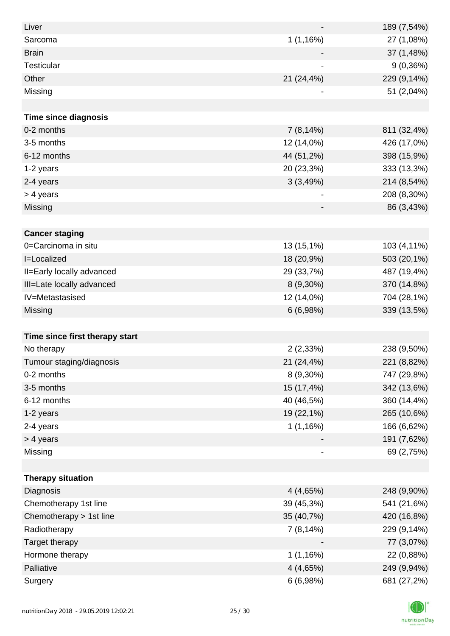| Liver                          |                          | 189 (7,54%) |
|--------------------------------|--------------------------|-------------|
| Sarcoma                        | 1(1,16%)                 | 27 (1,08%)  |
| <b>Brain</b>                   |                          | 37 (1,48%)  |
| <b>Testicular</b>              |                          | 9(0,36%)    |
| Other                          | 21 (24,4%)               | 229 (9,14%) |
| Missing                        |                          | 51 (2,04%)  |
|                                |                          |             |
| <b>Time since diagnosis</b>    |                          |             |
| 0-2 months                     | 7(8,14%)                 | 811 (32,4%) |
| 3-5 months                     | 12 (14,0%)               | 426 (17,0%) |
| 6-12 months                    | 44 (51,2%)               | 398 (15,9%) |
| 1-2 years                      | 20 (23,3%)               | 333 (13,3%) |
| 2-4 years                      | 3(3,49%)                 | 214 (8,54%) |
| > 4 years                      | $\overline{\phantom{a}}$ | 208 (8,30%) |
| Missing                        | $\overline{\phantom{a}}$ | 86 (3,43%)  |
|                                |                          |             |
| <b>Cancer staging</b>          |                          |             |
| 0=Carcinoma in situ            | 13 (15,1%)               | 103 (4,11%) |
| I=Localized                    | 18 (20,9%)               | 503 (20,1%) |
| II=Early locally advanced      | 29 (33,7%)               | 487 (19,4%) |
| III=Late locally advanced      | 8 (9,30%)                | 370 (14,8%) |
| IV=Metastasised                | 12 (14,0%)               | 704 (28,1%) |
| Missing                        | 6(6,98%)                 | 339 (13,5%) |
|                                |                          |             |
| Time since first therapy start |                          |             |
| No therapy                     | 2(2,33%)                 | 238 (9,50%) |
| Tumour staging/diagnosis       | 21 (24,4%)               | 221 (8,82%) |
| 0-2 months                     | 8 (9,30%)                | 747 (29,8%) |
| 3-5 months                     | 15 (17,4%)               | 342 (13,6%) |
| 6-12 months                    | 40 (46,5%)               | 360 (14,4%) |
| 1-2 years                      | 19 (22,1%)               | 265 (10,6%) |
| 2-4 years                      | 1(1,16%)                 | 166 (6,62%) |
| > 4 years                      |                          | 191 (7,62%) |
| Missing                        | $\overline{\phantom{a}}$ | 69 (2,75%)  |
|                                |                          |             |
| <b>Therapy situation</b>       |                          |             |
| Diagnosis                      | 4(4,65%)                 | 248 (9,90%) |
| Chemotherapy 1st line          | 39 (45,3%)               | 541 (21,6%) |
| Chemotherapy > 1st line        | 35 (40,7%)               | 420 (16,8%) |
| Radiotherapy                   | 7(8,14%)                 | 229 (9,14%) |
| Target therapy                 |                          | 77 (3,07%)  |
| Hormone therapy                | 1(1,16%)                 | 22 (0,88%)  |
| Palliative                     | 4 (4,65%)                | 249 (9,94%) |
| Surgery                        | 6(6,98%)                 | 681 (27,2%) |

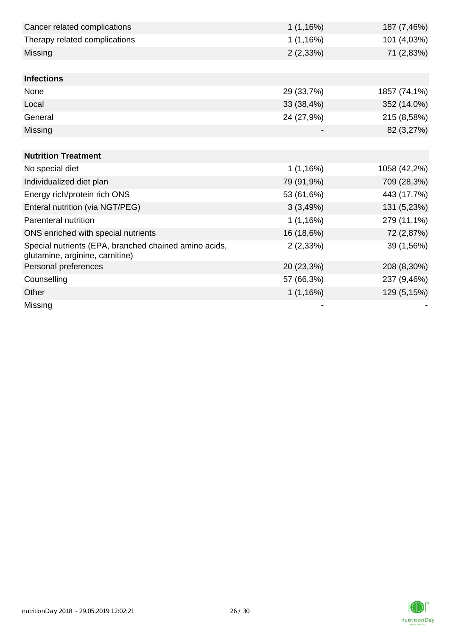| Cancer related complications                                                             | 1(1,16%)   | 187 (7,46%)  |
|------------------------------------------------------------------------------------------|------------|--------------|
| Therapy related complications                                                            | 1(1,16%)   | 101 (4,03%)  |
| Missing                                                                                  | 2(2,33%)   | 71 (2,83%)   |
|                                                                                          |            |              |
| <b>Infections</b>                                                                        |            |              |
| None                                                                                     | 29 (33,7%) | 1857 (74,1%) |
| Local                                                                                    | 33 (38,4%) | 352 (14,0%)  |
| General                                                                                  | 24 (27,9%) | 215 (8,58%)  |
| Missing                                                                                  |            | 82 (3,27%)   |
|                                                                                          |            |              |
| <b>Nutrition Treatment</b>                                                               |            |              |
| No special diet                                                                          | 1(1,16%)   | 1058 (42,2%) |
| Individualized diet plan                                                                 | 79 (91,9%) | 709 (28,3%)  |
| Energy rich/protein rich ONS                                                             | 53 (61,6%) | 443 (17,7%)  |
| Enteral nutrition (via NGT/PEG)                                                          | 3(3,49%)   | 131 (5,23%)  |
| <b>Parenteral nutrition</b>                                                              | 1(1,16%)   | 279 (11,1%)  |
| ONS enriched with special nutrients                                                      | 16 (18,6%) | 72 (2,87%)   |
| Special nutrients (EPA, branched chained amino acids,<br>glutamine, arginine, carnitine) | 2(2,33%)   | 39 (1,56%)   |
| Personal preferences                                                                     | 20 (23,3%) | 208 (8,30%)  |
| Counselling                                                                              | 57 (66,3%) | 237 (9,46%)  |
| Other                                                                                    | 1(1,16%)   | 129 (5,15%)  |
| Missing                                                                                  |            |              |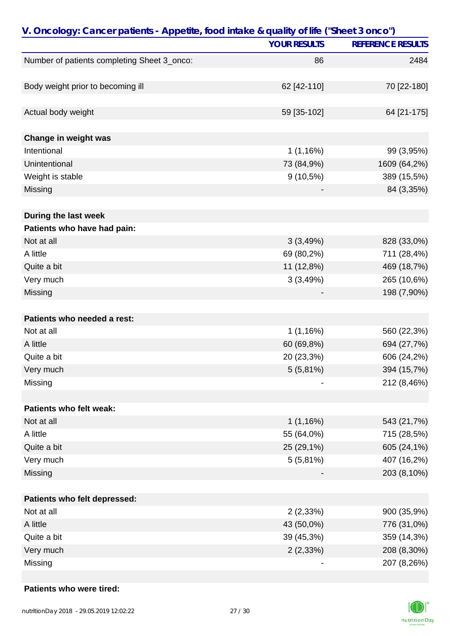| <b>YOUR RESULTS</b><br><b>REFERENCE RESULTS</b><br>Number of patients completing Sheet 3_onco:<br>2484<br>86<br>Body weight prior to becoming ill<br>62 [42-110]<br>70 [22-180]<br>Actual body weight<br>59 [35-102]<br>64 [21-175]<br>Change in weight was<br>Intentional<br>1(1,16%)<br>99 (3,95%)<br>Unintentional<br>73 (84,9%)<br>1609 (64,2%)<br>Weight is stable<br>$9(10,5\%)$<br>389 (15,5%)<br>Missing<br>84 (3,35%)<br>During the last week<br>Patients who have had pain:<br>Not at all<br>3(3,49%)<br>828 (33,0%)<br>A little<br>69 (80,2%)<br>711 (28,4%)<br>Quite a bit<br>11 (12,8%)<br>469 (18,7%)<br>265 (10,6%)<br>Very much<br>3(3,49%)<br>198 (7,90%)<br>Missing<br>Patients who needed a rest:<br>Not at all<br>1(1,16%)<br>560 (22,3%)<br>A little<br>60 (69,8%)<br>694 (27,7%)<br>606 (24,2%)<br>Quite a bit<br>20 (23,3%)<br>Very much<br>5(5,81%)<br>394 (15,7%)<br>Missing<br>212 (8,46%)<br>Patients who felt weak:<br>Not at all<br>1(1,16%)<br>543 (21,7%)<br>A little<br>55 (64,0%)<br>715 (28,5%)<br>Quite a bit<br>25 (29,1%)<br>605 (24,1%)<br>Very much<br>5(5,81%)<br>407 (16,2%)<br>Missing<br>203 (8,10%)<br>Patients who felt depressed:<br>Not at all<br>2(2,33%)<br>900 (35,9%)<br>A little<br>43 (50,0%)<br>776 (31,0%)<br>Quite a bit<br>39 (45,3%)<br>359 (14,3%)<br>Very much<br>2(2,33%)<br>208 (8,30%)<br>Missing<br>207 (8,26%) | V. Oncology: Cancer patients - Appetite, food intake & quality of life ("Sheet 3 onco") |  |  |
|---------------------------------------------------------------------------------------------------------------------------------------------------------------------------------------------------------------------------------------------------------------------------------------------------------------------------------------------------------------------------------------------------------------------------------------------------------------------------------------------------------------------------------------------------------------------------------------------------------------------------------------------------------------------------------------------------------------------------------------------------------------------------------------------------------------------------------------------------------------------------------------------------------------------------------------------------------------------------------------------------------------------------------------------------------------------------------------------------------------------------------------------------------------------------------------------------------------------------------------------------------------------------------------------------------------------------------------------------------------------------------|-----------------------------------------------------------------------------------------|--|--|
|                                                                                                                                                                                                                                                                                                                                                                                                                                                                                                                                                                                                                                                                                                                                                                                                                                                                                                                                                                                                                                                                                                                                                                                                                                                                                                                                                                                 |                                                                                         |  |  |
|                                                                                                                                                                                                                                                                                                                                                                                                                                                                                                                                                                                                                                                                                                                                                                                                                                                                                                                                                                                                                                                                                                                                                                                                                                                                                                                                                                                 |                                                                                         |  |  |
|                                                                                                                                                                                                                                                                                                                                                                                                                                                                                                                                                                                                                                                                                                                                                                                                                                                                                                                                                                                                                                                                                                                                                                                                                                                                                                                                                                                 |                                                                                         |  |  |
|                                                                                                                                                                                                                                                                                                                                                                                                                                                                                                                                                                                                                                                                                                                                                                                                                                                                                                                                                                                                                                                                                                                                                                                                                                                                                                                                                                                 |                                                                                         |  |  |
|                                                                                                                                                                                                                                                                                                                                                                                                                                                                                                                                                                                                                                                                                                                                                                                                                                                                                                                                                                                                                                                                                                                                                                                                                                                                                                                                                                                 |                                                                                         |  |  |
|                                                                                                                                                                                                                                                                                                                                                                                                                                                                                                                                                                                                                                                                                                                                                                                                                                                                                                                                                                                                                                                                                                                                                                                                                                                                                                                                                                                 |                                                                                         |  |  |
|                                                                                                                                                                                                                                                                                                                                                                                                                                                                                                                                                                                                                                                                                                                                                                                                                                                                                                                                                                                                                                                                                                                                                                                                                                                                                                                                                                                 |                                                                                         |  |  |
|                                                                                                                                                                                                                                                                                                                                                                                                                                                                                                                                                                                                                                                                                                                                                                                                                                                                                                                                                                                                                                                                                                                                                                                                                                                                                                                                                                                 |                                                                                         |  |  |
|                                                                                                                                                                                                                                                                                                                                                                                                                                                                                                                                                                                                                                                                                                                                                                                                                                                                                                                                                                                                                                                                                                                                                                                                                                                                                                                                                                                 |                                                                                         |  |  |
|                                                                                                                                                                                                                                                                                                                                                                                                                                                                                                                                                                                                                                                                                                                                                                                                                                                                                                                                                                                                                                                                                                                                                                                                                                                                                                                                                                                 |                                                                                         |  |  |
|                                                                                                                                                                                                                                                                                                                                                                                                                                                                                                                                                                                                                                                                                                                                                                                                                                                                                                                                                                                                                                                                                                                                                                                                                                                                                                                                                                                 |                                                                                         |  |  |
|                                                                                                                                                                                                                                                                                                                                                                                                                                                                                                                                                                                                                                                                                                                                                                                                                                                                                                                                                                                                                                                                                                                                                                                                                                                                                                                                                                                 |                                                                                         |  |  |
|                                                                                                                                                                                                                                                                                                                                                                                                                                                                                                                                                                                                                                                                                                                                                                                                                                                                                                                                                                                                                                                                                                                                                                                                                                                                                                                                                                                 |                                                                                         |  |  |
|                                                                                                                                                                                                                                                                                                                                                                                                                                                                                                                                                                                                                                                                                                                                                                                                                                                                                                                                                                                                                                                                                                                                                                                                                                                                                                                                                                                 |                                                                                         |  |  |
|                                                                                                                                                                                                                                                                                                                                                                                                                                                                                                                                                                                                                                                                                                                                                                                                                                                                                                                                                                                                                                                                                                                                                                                                                                                                                                                                                                                 |                                                                                         |  |  |
|                                                                                                                                                                                                                                                                                                                                                                                                                                                                                                                                                                                                                                                                                                                                                                                                                                                                                                                                                                                                                                                                                                                                                                                                                                                                                                                                                                                 |                                                                                         |  |  |
|                                                                                                                                                                                                                                                                                                                                                                                                                                                                                                                                                                                                                                                                                                                                                                                                                                                                                                                                                                                                                                                                                                                                                                                                                                                                                                                                                                                 |                                                                                         |  |  |
|                                                                                                                                                                                                                                                                                                                                                                                                                                                                                                                                                                                                                                                                                                                                                                                                                                                                                                                                                                                                                                                                                                                                                                                                                                                                                                                                                                                 |                                                                                         |  |  |
|                                                                                                                                                                                                                                                                                                                                                                                                                                                                                                                                                                                                                                                                                                                                                                                                                                                                                                                                                                                                                                                                                                                                                                                                                                                                                                                                                                                 |                                                                                         |  |  |
|                                                                                                                                                                                                                                                                                                                                                                                                                                                                                                                                                                                                                                                                                                                                                                                                                                                                                                                                                                                                                                                                                                                                                                                                                                                                                                                                                                                 |                                                                                         |  |  |
|                                                                                                                                                                                                                                                                                                                                                                                                                                                                                                                                                                                                                                                                                                                                                                                                                                                                                                                                                                                                                                                                                                                                                                                                                                                                                                                                                                                 |                                                                                         |  |  |
|                                                                                                                                                                                                                                                                                                                                                                                                                                                                                                                                                                                                                                                                                                                                                                                                                                                                                                                                                                                                                                                                                                                                                                                                                                                                                                                                                                                 |                                                                                         |  |  |
|                                                                                                                                                                                                                                                                                                                                                                                                                                                                                                                                                                                                                                                                                                                                                                                                                                                                                                                                                                                                                                                                                                                                                                                                                                                                                                                                                                                 |                                                                                         |  |  |
|                                                                                                                                                                                                                                                                                                                                                                                                                                                                                                                                                                                                                                                                                                                                                                                                                                                                                                                                                                                                                                                                                                                                                                                                                                                                                                                                                                                 |                                                                                         |  |  |
|                                                                                                                                                                                                                                                                                                                                                                                                                                                                                                                                                                                                                                                                                                                                                                                                                                                                                                                                                                                                                                                                                                                                                                                                                                                                                                                                                                                 |                                                                                         |  |  |
|                                                                                                                                                                                                                                                                                                                                                                                                                                                                                                                                                                                                                                                                                                                                                                                                                                                                                                                                                                                                                                                                                                                                                                                                                                                                                                                                                                                 |                                                                                         |  |  |
|                                                                                                                                                                                                                                                                                                                                                                                                                                                                                                                                                                                                                                                                                                                                                                                                                                                                                                                                                                                                                                                                                                                                                                                                                                                                                                                                                                                 |                                                                                         |  |  |
|                                                                                                                                                                                                                                                                                                                                                                                                                                                                                                                                                                                                                                                                                                                                                                                                                                                                                                                                                                                                                                                                                                                                                                                                                                                                                                                                                                                 |                                                                                         |  |  |
|                                                                                                                                                                                                                                                                                                                                                                                                                                                                                                                                                                                                                                                                                                                                                                                                                                                                                                                                                                                                                                                                                                                                                                                                                                                                                                                                                                                 |                                                                                         |  |  |
|                                                                                                                                                                                                                                                                                                                                                                                                                                                                                                                                                                                                                                                                                                                                                                                                                                                                                                                                                                                                                                                                                                                                                                                                                                                                                                                                                                                 |                                                                                         |  |  |
|                                                                                                                                                                                                                                                                                                                                                                                                                                                                                                                                                                                                                                                                                                                                                                                                                                                                                                                                                                                                                                                                                                                                                                                                                                                                                                                                                                                 |                                                                                         |  |  |
|                                                                                                                                                                                                                                                                                                                                                                                                                                                                                                                                                                                                                                                                                                                                                                                                                                                                                                                                                                                                                                                                                                                                                                                                                                                                                                                                                                                 |                                                                                         |  |  |
|                                                                                                                                                                                                                                                                                                                                                                                                                                                                                                                                                                                                                                                                                                                                                                                                                                                                                                                                                                                                                                                                                                                                                                                                                                                                                                                                                                                 |                                                                                         |  |  |
|                                                                                                                                                                                                                                                                                                                                                                                                                                                                                                                                                                                                                                                                                                                                                                                                                                                                                                                                                                                                                                                                                                                                                                                                                                                                                                                                                                                 |                                                                                         |  |  |
|                                                                                                                                                                                                                                                                                                                                                                                                                                                                                                                                                                                                                                                                                                                                                                                                                                                                                                                                                                                                                                                                                                                                                                                                                                                                                                                                                                                 |                                                                                         |  |  |
|                                                                                                                                                                                                                                                                                                                                                                                                                                                                                                                                                                                                                                                                                                                                                                                                                                                                                                                                                                                                                                                                                                                                                                                                                                                                                                                                                                                 |                                                                                         |  |  |
|                                                                                                                                                                                                                                                                                                                                                                                                                                                                                                                                                                                                                                                                                                                                                                                                                                                                                                                                                                                                                                                                                                                                                                                                                                                                                                                                                                                 |                                                                                         |  |  |

### **Patients who were tired:**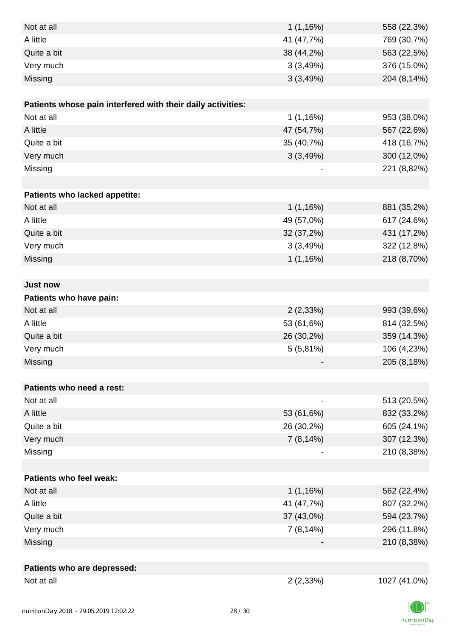| Not at all                                                  | 1(1,16%)   | 558 (22,3%)  |
|-------------------------------------------------------------|------------|--------------|
| A little                                                    | 41 (47,7%) | 769 (30,7%)  |
| Quite a bit                                                 | 38 (44,2%) | 563 (22,5%)  |
| Very much                                                   | 3(3,49%)   | 376 (15,0%)  |
| Missing                                                     | 3(3,49%)   | 204 (8,14%)  |
|                                                             |            |              |
| Patients whose pain interfered with their daily activities: |            |              |
| Not at all                                                  | 1(1,16%)   | 953 (38,0%)  |
| A little                                                    | 47 (54,7%) | 567 (22,6%)  |
| Quite a bit                                                 | 35 (40,7%) | 418 (16,7%)  |
| Very much                                                   | 3(3,49%)   | 300 (12,0%)  |
| Missing                                                     |            | 221 (8,82%)  |
|                                                             |            |              |
| Patients who lacked appetite:                               |            |              |
| Not at all                                                  | 1(1,16%)   | 881 (35,2%)  |
| A little                                                    | 49 (57,0%) | 617 (24,6%)  |
| Quite a bit                                                 | 32 (37,2%) | 431 (17,2%)  |
| Very much                                                   | 3(3,49%)   | 322 (12,8%)  |
| Missing                                                     | 1(1,16%)   | 218 (8,70%)  |
|                                                             |            |              |
| <b>Just now</b>                                             |            |              |
| Patients who have pain:                                     |            |              |
| Not at all                                                  | 2(2,33%)   | 993 (39,6%)  |
| A little                                                    | 53 (61,6%) | 814 (32,5%)  |
| Quite a bit                                                 | 26 (30,2%) | 359 (14,3%)  |
| Very much                                                   | 5(5,81%)   | 106 (4,23%)  |
| Missing                                                     |            | 205 (8,18%)  |
|                                                             |            |              |
| Patients who need a rest:                                   |            |              |
| Not at all                                                  |            | 513 (20,5%)  |
| A little                                                    | 53 (61,6%) | 832 (33,2%)  |
| Quite a bit                                                 | 26 (30,2%) | 605 (24,1%)  |
| Very much                                                   | 7(8,14%)   | 307 (12,3%)  |
| Missing                                                     |            | 210 (8,38%)  |
|                                                             |            |              |
| Patients who feel weak:                                     |            |              |
| Not at all                                                  | 1(1,16%)   | 562 (22,4%)  |
| A little                                                    | 41 (47,7%) | 807 (32,2%)  |
| Quite a bit                                                 | 37 (43,0%) | 594 (23,7%)  |
| Very much                                                   | 7(8,14%)   | 296 (11,8%)  |
| Missing                                                     |            | 210 (8,38%)  |
|                                                             |            |              |
| Patients who are depressed:                                 |            |              |
| Not at all                                                  | 2(2,33%)   | 1027 (41,0%) |

nutritionDay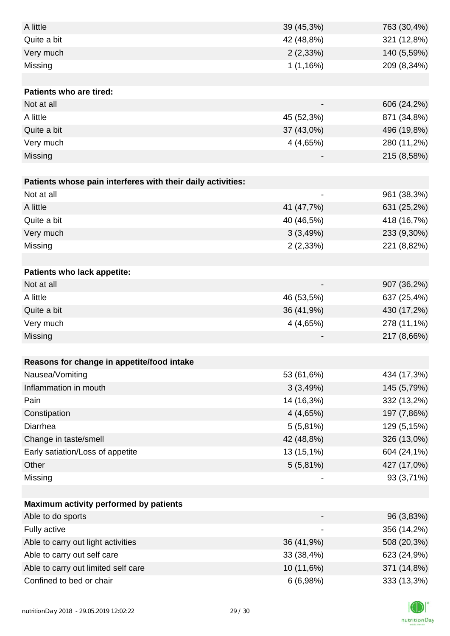| A little                                                    | 39 (45,3%)  | 763 (30,4%) |
|-------------------------------------------------------------|-------------|-------------|
| Quite a bit                                                 | 42 (48,8%)  | 321 (12,8%) |
| Very much                                                   | 2(2,33%)    | 140 (5,59%) |
| Missing                                                     | 1(1,16%)    | 209 (8,34%) |
|                                                             |             |             |
| <b>Patients who are tired:</b>                              |             |             |
| Not at all                                                  |             | 606 (24,2%) |
| A little                                                    | 45 (52,3%)  | 871 (34,8%) |
| Quite a bit                                                 | 37 (43,0%)  | 496 (19,8%) |
| Very much                                                   | 4 (4,65%)   | 280 (11,2%) |
| Missing                                                     |             | 215 (8,58%) |
|                                                             |             |             |
| Patients whose pain interferes with their daily activities: |             |             |
| Not at all                                                  |             | 961 (38,3%) |
| A little                                                    | 41 (47,7%)  | 631 (25,2%) |
| Quite a bit                                                 | 40 (46,5%)  | 418 (16,7%) |
| Very much                                                   | 3(3,49%)    | 233 (9,30%) |
| Missing                                                     | 2(2,33%)    | 221 (8,82%) |
|                                                             |             |             |
| <b>Patients who lack appetite:</b>                          |             |             |
| Not at all                                                  |             | 907 (36,2%) |
| A little                                                    | 46 (53,5%)  | 637 (25,4%) |
| Quite a bit                                                 | 36 (41,9%)  | 430 (17,2%) |
| Very much                                                   | 4(4,65%)    | 278 (11,1%) |
| Missing                                                     |             | 217 (8,66%) |
|                                                             |             |             |
| Reasons for change in appetite/food intake                  |             |             |
| Nausea/Vomiting                                             | 53 (61,6%)  | 434 (17,3%) |
| Inflammation in mouth                                       | 3(3,49%)    | 145 (5,79%) |
| Pain                                                        | 14 (16,3%)  | 332 (13,2%) |
| Constipation                                                | 4(4,65%)    | 197 (7,86%) |
| Diarrhea                                                    | $5(5,81\%)$ | 129 (5,15%) |
| Change in taste/smell                                       | 42 (48,8%)  | 326 (13,0%) |
| Early satiation/Loss of appetite                            | 13 (15,1%)  | 604 (24,1%) |
| Other                                                       | 5(5,81%)    | 427 (17,0%) |
| Missing                                                     |             | 93 (3,71%)  |
|                                                             |             |             |
| Maximum activity performed by patients                      |             |             |
| Able to do sports                                           |             | 96 (3,83%)  |
| Fully active                                                |             | 356 (14,2%) |
| Able to carry out light activities                          | 36 (41,9%)  | 508 (20,3%) |
| Able to carry out self care                                 | 33 (38,4%)  | 623 (24,9%) |
| Able to carry out limited self care                         | 10 (11,6%)  | 371 (14,8%) |
| Confined to bed or chair                                    | 6(6,98%)    | 333 (13,3%) |